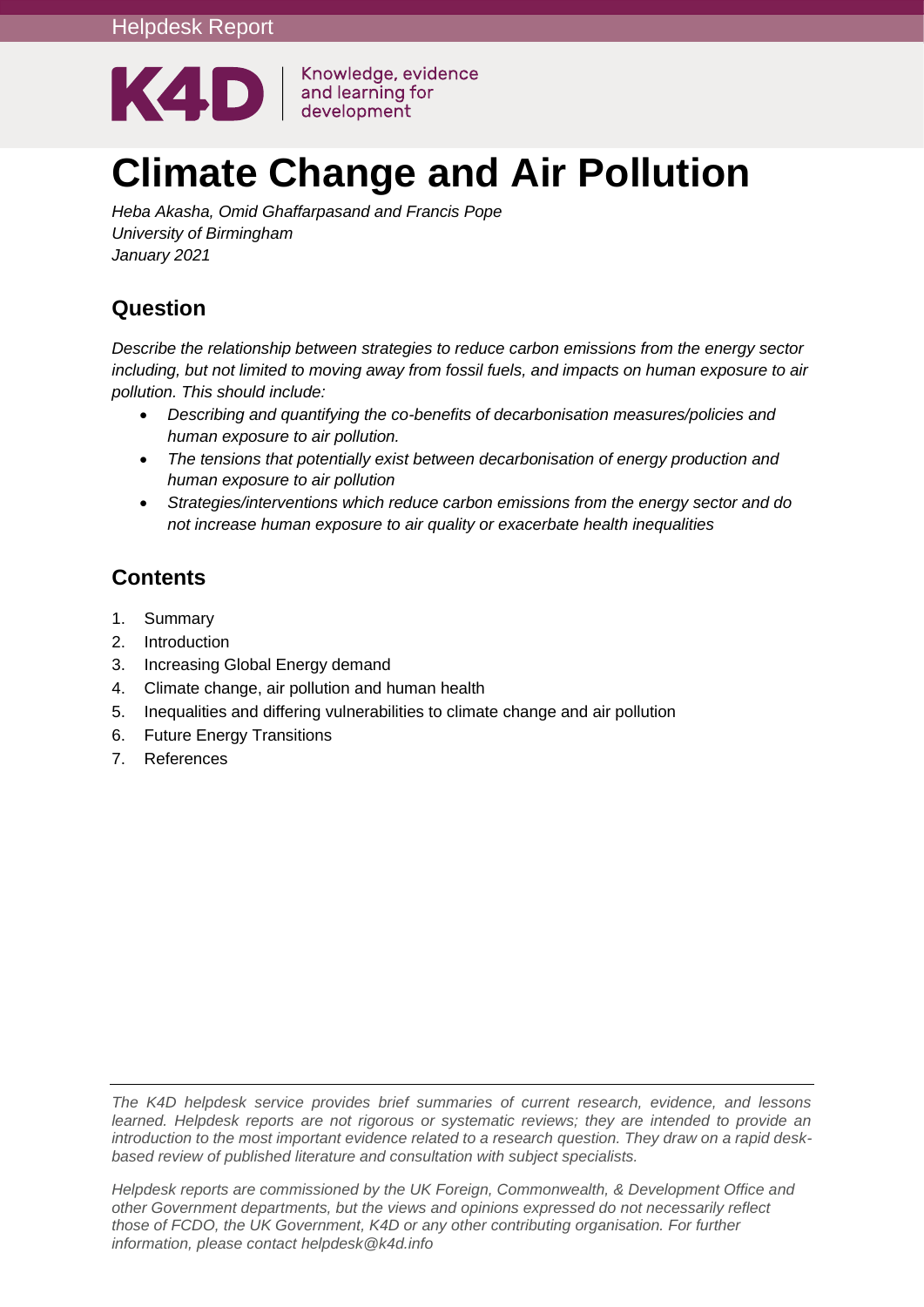

Knowledge, evidence and learning for

# **Climate Change and Air Pollution**

*Heba Akasha, Omid Ghaffarpasand and Francis Pope University of Birmingham January 2021*

# **Question**

*Describe the relationship between strategies to reduce carbon emissions from the energy sector including, but not limited to moving away from fossil fuels, and impacts on human exposure to air pollution. This should include:*

- *Describing and quantifying the co-benefits of decarbonisation measures/policies and human exposure to air pollution.*
- *The tensions that potentially exist between decarbonisation of energy production and human exposure to air pollution*
- *Strategies/interventions which reduce carbon emissions from the energy sector and do not increase human exposure to air quality or exacerbate health inequalities*

# **Contents**

- 1. [Summary](#page-1-0)
- 2. [Introduction](#page-3-0)
- 3. [Increasing Global Energy demand](#page-4-0)
- 4. [Climate change, air pollution and human health](#page-5-0)
- 5. [Inequalities and differing vulnerabilities to climate change and air pollution](#page-11-0)
- 6. [Future Energy Transitions](#page-13-0)
- 7. [References](#page-18-0)

*The K4D helpdesk service provides brief summaries of current research, evidence, and lessons learned. Helpdesk reports are not rigorous or systematic reviews; they are intended to provide an introduction to the most important evidence related to a research question. They draw on a rapid deskbased review of published literature and consultation with subject specialists.* 

*Helpdesk reports are commissioned by the UK Foreign, Commonwealth, & Development Office and other Government departments, but the views and opinions expressed do not necessarily reflect those of FCDO, the UK Government, K4D or any other contributing organisation. For further information, please contact helpdesk@k4d.info*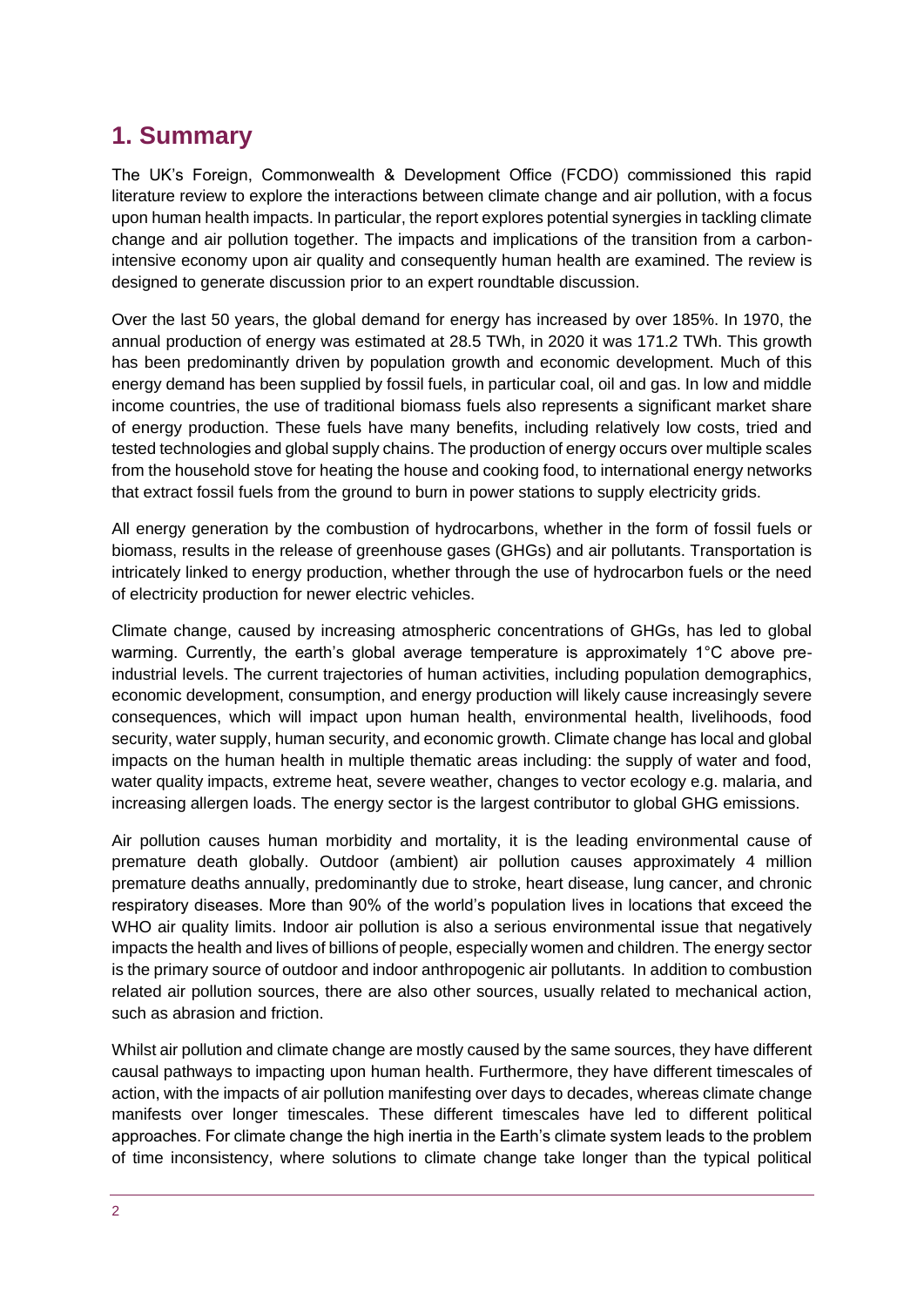# <span id="page-1-0"></span>**1. Summary**

The UK's Foreign, Commonwealth & Development Office (FCDO) commissioned this rapid literature review to explore the interactions between climate change and air pollution, with a focus upon human health impacts. In particular, the report explores potential synergies in tackling climate change and air pollution together. The impacts and implications of the transition from a carbonintensive economy upon air quality and consequently human health are examined. The review is designed to generate discussion prior to an expert roundtable discussion.

Over the last 50 years, the global demand for energy has increased by over 185%. In 1970, the annual production of energy was estimated at 28.5 TWh, in 2020 it was 171.2 TWh. This growth has been predominantly driven by population growth and economic development. Much of this energy demand has been supplied by fossil fuels, in particular coal, oil and gas. In low and middle income countries, the use of traditional biomass fuels also represents a significant market share of energy production. These fuels have many benefits, including relatively low costs, tried and tested technologies and global supply chains. The production of energy occurs over multiple scales from the household stove for heating the house and cooking food, to international energy networks that extract fossil fuels from the ground to burn in power stations to supply electricity grids.

All energy generation by the combustion of hydrocarbons, whether in the form of fossil fuels or biomass, results in the release of greenhouse gases (GHGs) and air pollutants. Transportation is intricately linked to energy production, whether through the use of hydrocarbon fuels or the need of electricity production for newer electric vehicles.

Climate change, caused by increasing atmospheric concentrations of GHGs, has led to global warming. Currently, the earth's global average temperature is approximately 1°C above preindustrial levels. The current trajectories of human activities, including population demographics, economic development, consumption, and energy production will likely cause increasingly severe consequences, which will impact upon human health, environmental health, livelihoods, food security, water supply, human security, and economic growth. Climate change has local and global impacts on the human health in multiple thematic areas including: the supply of water and food, water quality impacts, extreme heat, severe weather, changes to vector ecology e.g. malaria, and increasing allergen loads. The energy sector is the largest contributor to global GHG emissions.

Air pollution causes human morbidity and mortality, it is the leading environmental cause of premature death globally. Outdoor (ambient) air pollution causes approximately 4 million premature deaths annually, predominantly due to stroke, heart disease, lung cancer, and chronic respiratory diseases. More than 90% of the world's population lives in locations that exceed the WHO air quality limits. Indoor air pollution is also a serious environmental issue that negatively impacts the health and lives of billions of people, especially women and children. The energy sector is the primary source of outdoor and indoor anthropogenic air pollutants. In addition to combustion related air pollution sources, there are also other sources, usually related to mechanical action, such as abrasion and friction.

Whilst air pollution and climate change are mostly caused by the same sources, they have different causal pathways to impacting upon human health. Furthermore, they have different timescales of action, with the impacts of air pollution manifesting over days to decades, whereas climate change manifests over longer timescales. These different timescales have led to different political approaches. For climate change the high inertia in the Earth's climate system leads to the problem of time inconsistency, where solutions to climate change take longer than the typical political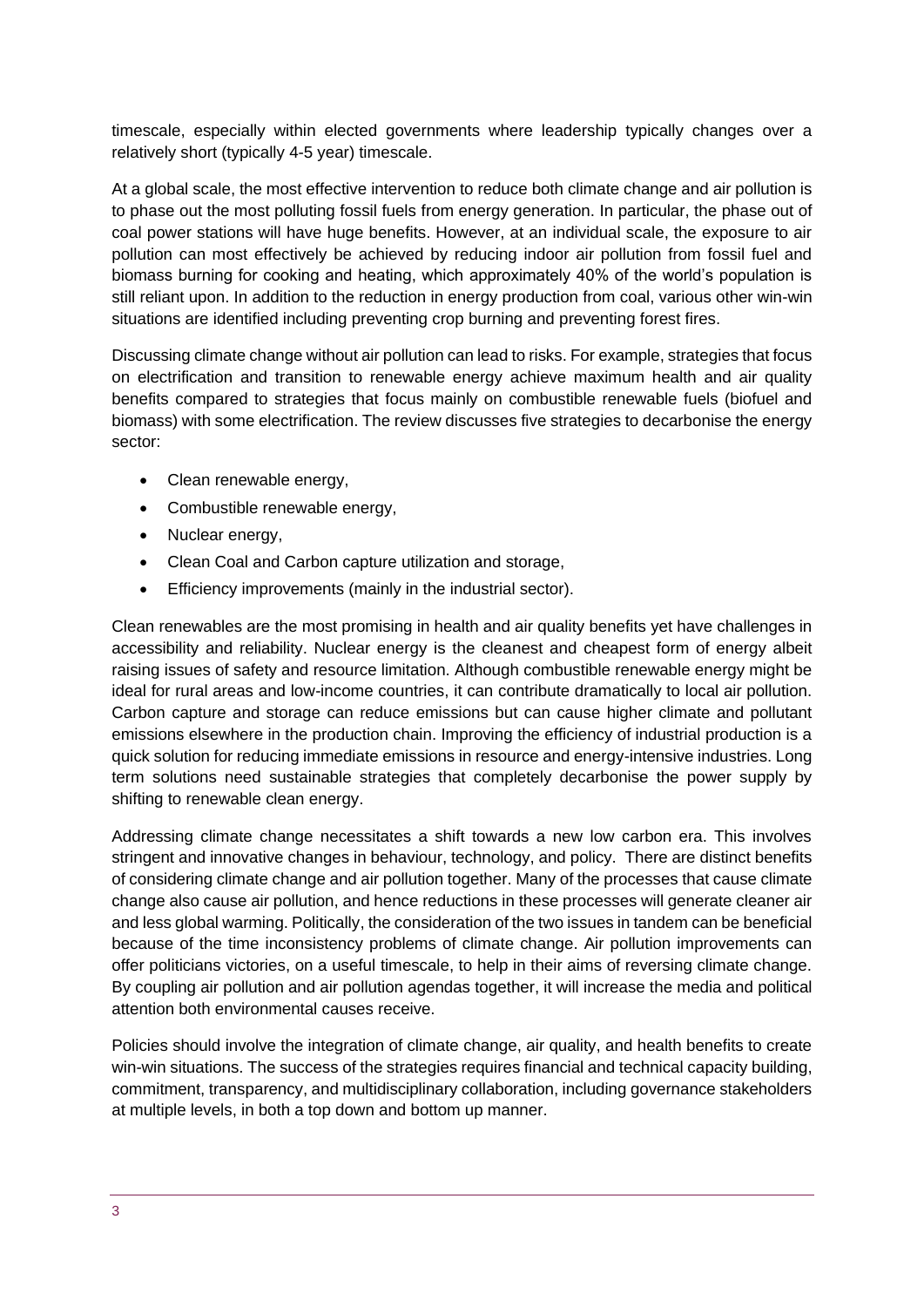timescale, especially within elected governments where leadership typically changes over a relatively short (typically 4-5 year) timescale.

At a global scale, the most effective intervention to reduce both climate change and air pollution is to phase out the most polluting fossil fuels from energy generation. In particular, the phase out of coal power stations will have huge benefits. However, at an individual scale, the exposure to air pollution can most effectively be achieved by reducing indoor air pollution from fossil fuel and biomass burning for cooking and heating, which approximately 40% of the world's population is still reliant upon. In addition to the reduction in energy production from coal, various other win-win situations are identified including preventing crop burning and preventing forest fires.

Discussing climate change without air pollution can lead to risks. For example, strategies that focus on electrification and transition to renewable energy achieve maximum health and air quality benefits compared to strategies that focus mainly on combustible renewable fuels (biofuel and biomass) with some electrification. The review discusses five strategies to decarbonise the energy sector:

- Clean renewable energy,
- Combustible renewable energy,
- Nuclear energy,
- Clean Coal and Carbon capture utilization and storage,
- Efficiency improvements (mainly in the industrial sector).

Clean renewables are the most promising in health and air quality benefits yet have challenges in accessibility and reliability. Nuclear energy is the cleanest and cheapest form of energy albeit raising issues of safety and resource limitation. Although combustible renewable energy might be ideal for rural areas and low-income countries, it can contribute dramatically to local air pollution. Carbon capture and storage can reduce emissions but can cause higher climate and pollutant emissions elsewhere in the production chain. Improving the efficiency of industrial production is a quick solution for reducing immediate emissions in resource and energy-intensive industries. Long term solutions need sustainable strategies that completely decarbonise the power supply by shifting to renewable clean energy.

Addressing climate change necessitates a shift towards a new low carbon era. This involves stringent and innovative changes in behaviour, technology, and policy. There are distinct benefits of considering climate change and air pollution together. Many of the processes that cause climate change also cause air pollution, and hence reductions in these processes will generate cleaner air and less global warming. Politically, the consideration of the two issues in tandem can be beneficial because of the time inconsistency problems of climate change. Air pollution improvements can offer politicians victories, on a useful timescale, to help in their aims of reversing climate change. By coupling air pollution and air pollution agendas together, it will increase the media and political attention both environmental causes receive.

Policies should involve the integration of climate change, air quality, and health benefits to create win-win situations. The success of the strategies requires financial and technical capacity building, commitment, transparency, and multidisciplinary collaboration, including governance stakeholders at multiple levels, in both a top down and bottom up manner.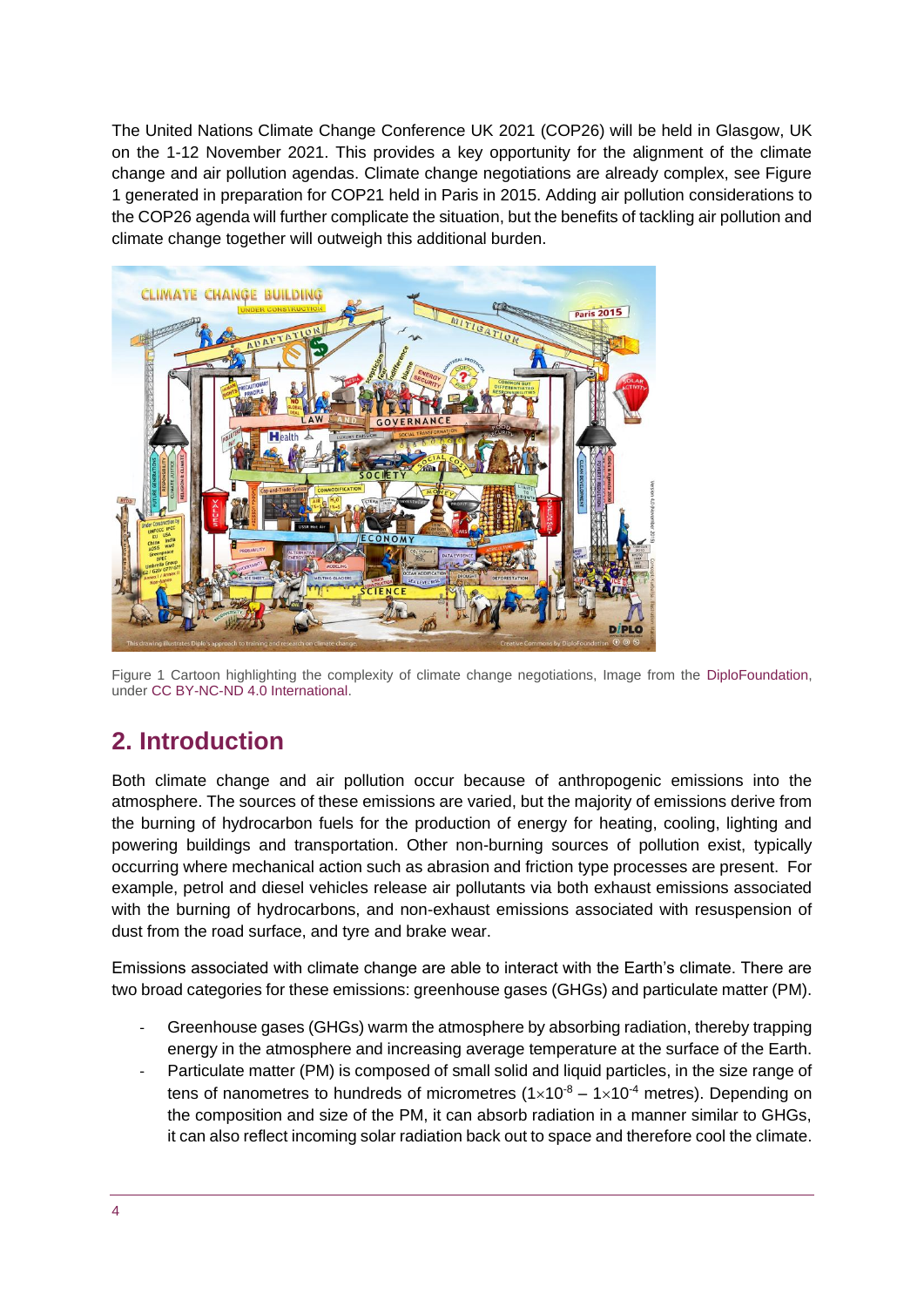The United Nations Climate Change Conference UK 2021 (COP26) will be held in Glasgow, UK on the 1-12 November 2021. This provides a key opportunity for the alignment of the climate change and air pollution agendas. Climate change negotiations are already complex, see Figure 1 generated in preparation for COP21 held in Paris in 2015. Adding air pollution considerations to the COP26 agenda will further complicate the situation, but the benefits of tackling air pollution and climate change together will outweigh this additional burden.



Figure 1 Cartoon highlighting the complexity of climate change negotiations, Image from the [DiploFoundation,](https://diplo.smugmug.com/ILLUSTRATIONS/Diplomacy/Climate-Change-Diplomacy/Climate-Change-Building/i-NXD3ZXb/A) unde[r CC BY-NC-ND 4.0 International.](https://creativecommons.org/licenses/by-nc-nd/4.0/)

# <span id="page-3-0"></span>**2. Introduction**

Both climate change and air pollution occur because of anthropogenic emissions into the atmosphere. The sources of these emissions are varied, but the majority of emissions derive from the burning of hydrocarbon fuels for the production of energy for heating, cooling, lighting and powering buildings and transportation. Other non-burning sources of pollution exist, typically occurring where mechanical action such as abrasion and friction type processes are present. For example, petrol and diesel vehicles release air pollutants via both exhaust emissions associated with the burning of hydrocarbons, and non-exhaust emissions associated with resuspension of dust from the road surface, and tyre and brake wear.

Emissions associated with climate change are able to interact with the Earth's climate. There are two broad categories for these emissions: greenhouse gases (GHGs) and particulate matter (PM).

- Greenhouse gases (GHGs) warm the atmosphere by absorbing radiation, thereby trapping energy in the atmosphere and increasing average temperature at the surface of the Earth.
- Particulate matter (PM) is composed of small solid and liquid particles, in the size range of tens of nanometres to hundreds of micrometres  $(1\times10^{-8} - 1\times10^{-4}$  metres). Depending on the composition and size of the PM, it can absorb radiation in a manner similar to GHGs, it can also reflect incoming solar radiation back out to space and therefore cool the climate.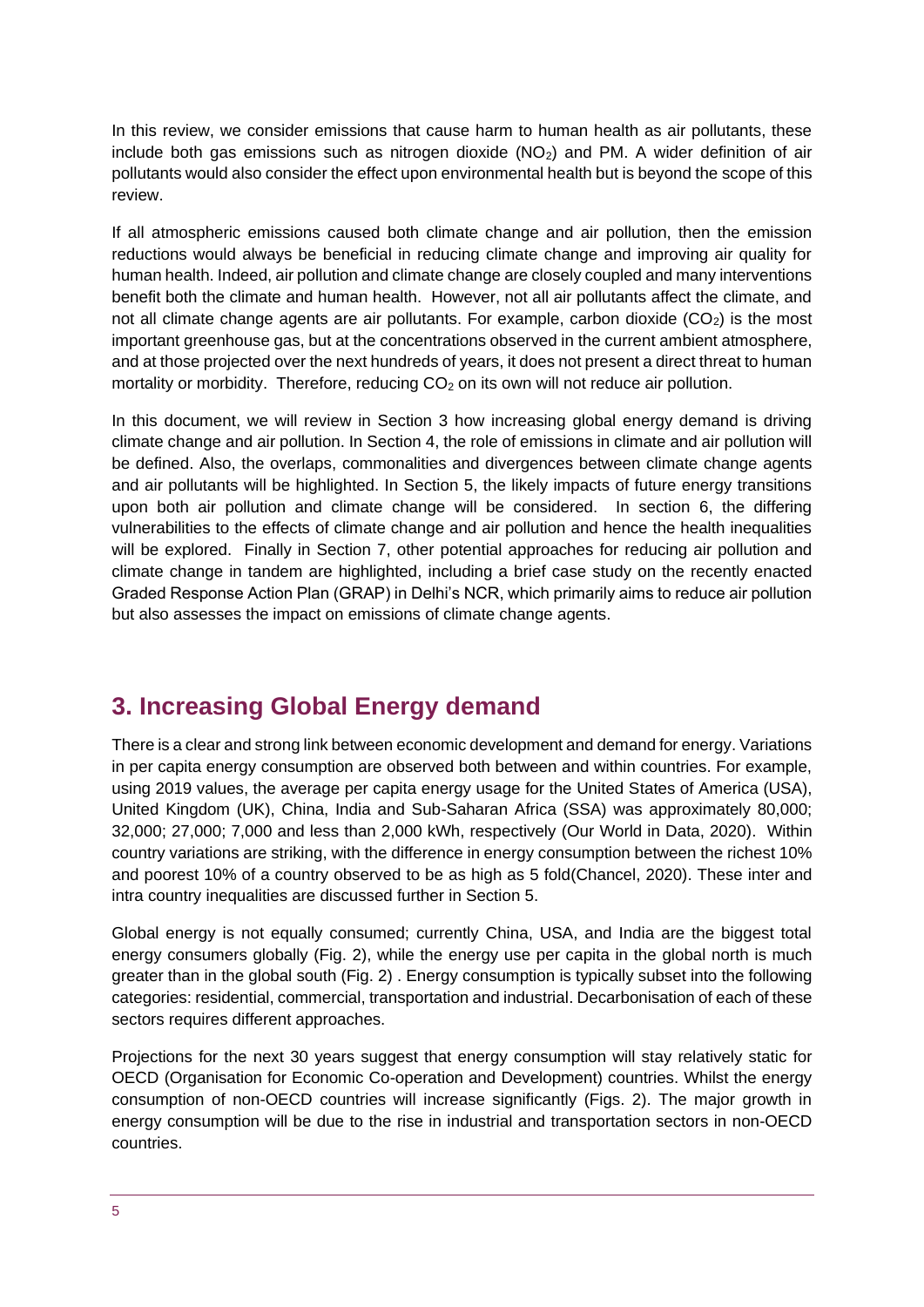In this review, we consider emissions that cause harm to human health as air pollutants, these include both gas emissions such as nitrogen dioxide  $(NO<sub>2</sub>)$  and PM. A wider definition of air pollutants would also consider the effect upon environmental health but is beyond the scope of this review.

If all atmospheric emissions caused both climate change and air pollution, then the emission reductions would always be beneficial in reducing climate change and improving air quality for human health. Indeed, air pollution and climate change are closely coupled and many interventions benefit both the climate and human health. However, not all air pollutants affect the climate, and not all climate change agents are air pollutants. For example, carbon dioxide  $(CO<sub>2</sub>)$  is the most important greenhouse gas, but at the concentrations observed in the current ambient atmosphere, and at those projected over the next hundreds of years, it does not present a direct threat to human mortality or morbidity. Therefore, reducing  $CO<sub>2</sub>$  on its own will not reduce air pollution.

In this document, we will review in Section 3 how increasing global energy demand is driving climate change and air pollution. In Section 4, the role of emissions in climate and air pollution will be defined. Also, the overlaps, commonalities and divergences between climate change agents and air pollutants will be highlighted. In Section 5, the likely impacts of future energy transitions upon both air pollution and climate change will be considered. In section 6, the differing vulnerabilities to the effects of climate change and air pollution and hence the health inequalities will be explored. Finally in Section 7, other potential approaches for reducing air pollution and climate change in tandem are highlighted, including a brief case study on the recently enacted Graded Response Action Plan (GRAP) in Delhi's NCR, which primarily aims to reduce air pollution but also assesses the impact on emissions of climate change agents.

# <span id="page-4-0"></span>**3. Increasing Global Energy demand**

There is a clear and strong link between economic development and demand for energy. Variations in per capita energy consumption are observed both between and within countries. For example, using 2019 values, the average per capita energy usage for the United States of America (USA), United Kingdom (UK), China, India and Sub-Saharan Africa (SSA) was approximately 80,000; 32,000; 27,000; 7,000 and less than 2,000 kWh, respectively (Our World in Data, 2020). Within country variations are striking, with the difference in energy consumption between the richest 10% and poorest 10% of a country observed to be as high as 5 fold(Chancel, 2020). These inter and intra country inequalities are discussed further in Section 5.

Global energy is not equally consumed; currently China, USA, and India are the biggest total energy consumers globally (Fig. 2), while the energy use per capita in the global north is much greater than in the global south (Fig. 2) . Energy consumption is typically subset into the following categories: residential, commercial, transportation and industrial. Decarbonisation of each of these sectors requires different approaches.

Projections for the next 30 years suggest that energy consumption will stay relatively static for OECD (Organisation for Economic Co-operation and Development) countries. Whilst the energy consumption of non-OECD countries will increase significantly (Figs. 2). The major growth in energy consumption will be due to the rise in industrial and transportation sectors in non-OECD countries.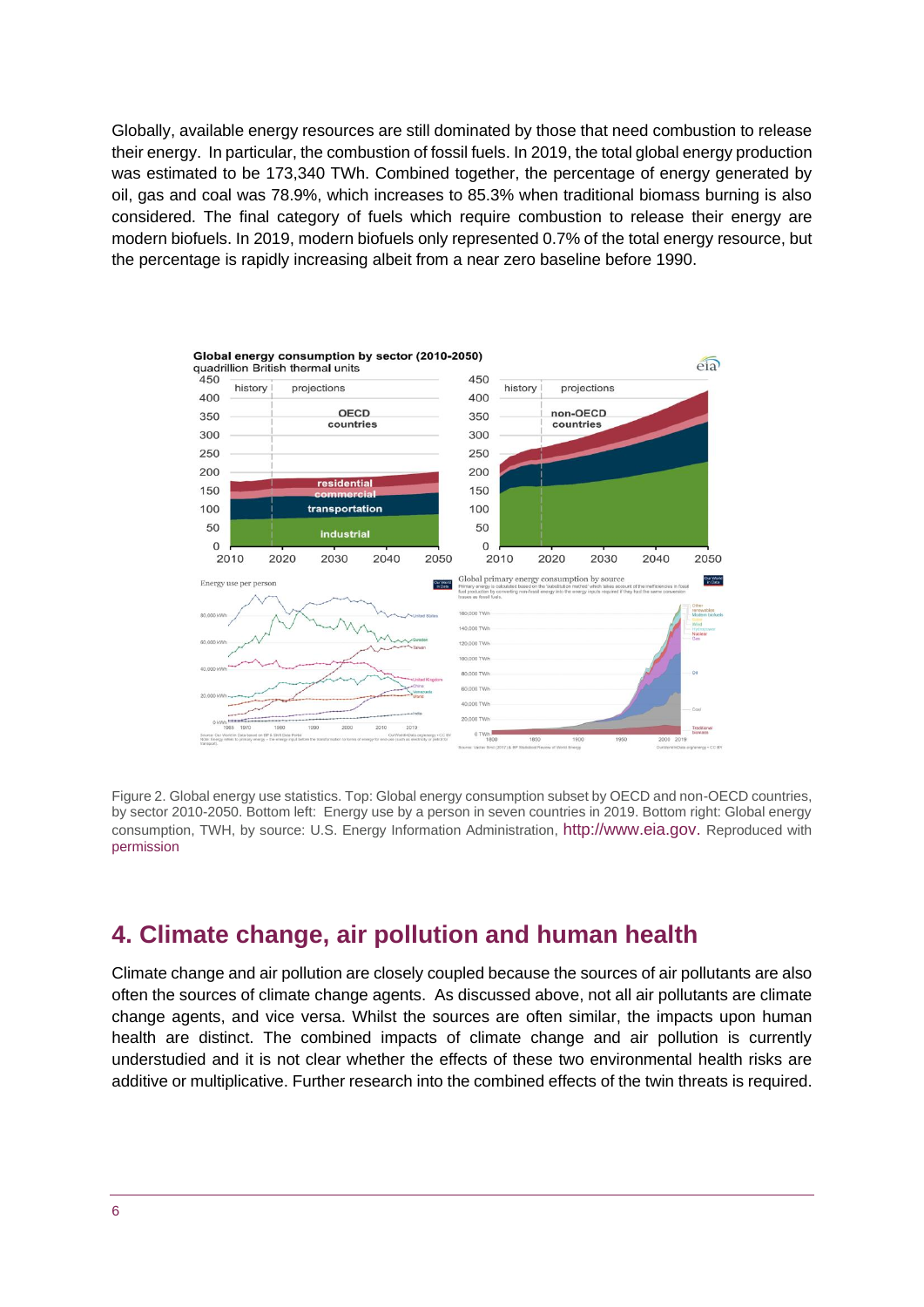Globally, available energy resources are still dominated by those that need combustion to release their energy. In particular, the combustion of fossil fuels. In 2019, the total global energy production was estimated to be 173,340 TWh. Combined together, the percentage of energy generated by oil, gas and coal was 78.9%, which increases to 85.3% when traditional biomass burning is also considered. The final category of fuels which require combustion to release their energy are modern biofuels. In 2019, modern biofuels only represented 0.7% of the total energy resource, but the percentage is rapidly increasing albeit from a near zero baseline before 1990.



Figure 2. Global energy use statistics. Top: Global energy consumption subset by OECD and non-OECD countries, by sector 2010-2050. Bottom left: Energy use by a person in seven countries in 2019. Bottom right: Global energy consumption, TWH, by source: U.S. Energy Information Administration, [http://www.eia.gov.](http://www.eia.gov/) Reproduced with [permission](https://www.eia.gov/about/copyrights_reuse.php)

# <span id="page-5-0"></span>**4. Climate change, air pollution and human health**

Climate change and air pollution are closely coupled because the sources of air pollutants are also often the sources of climate change agents. As discussed above, not all air pollutants are climate change agents, and vice versa. Whilst the sources are often similar, the impacts upon human health are distinct. The combined impacts of climate change and air pollution is currently understudied and it is not clear whether the effects of these two environmental health risks are additive or multiplicative. Further research into the combined effects of the twin threats is required.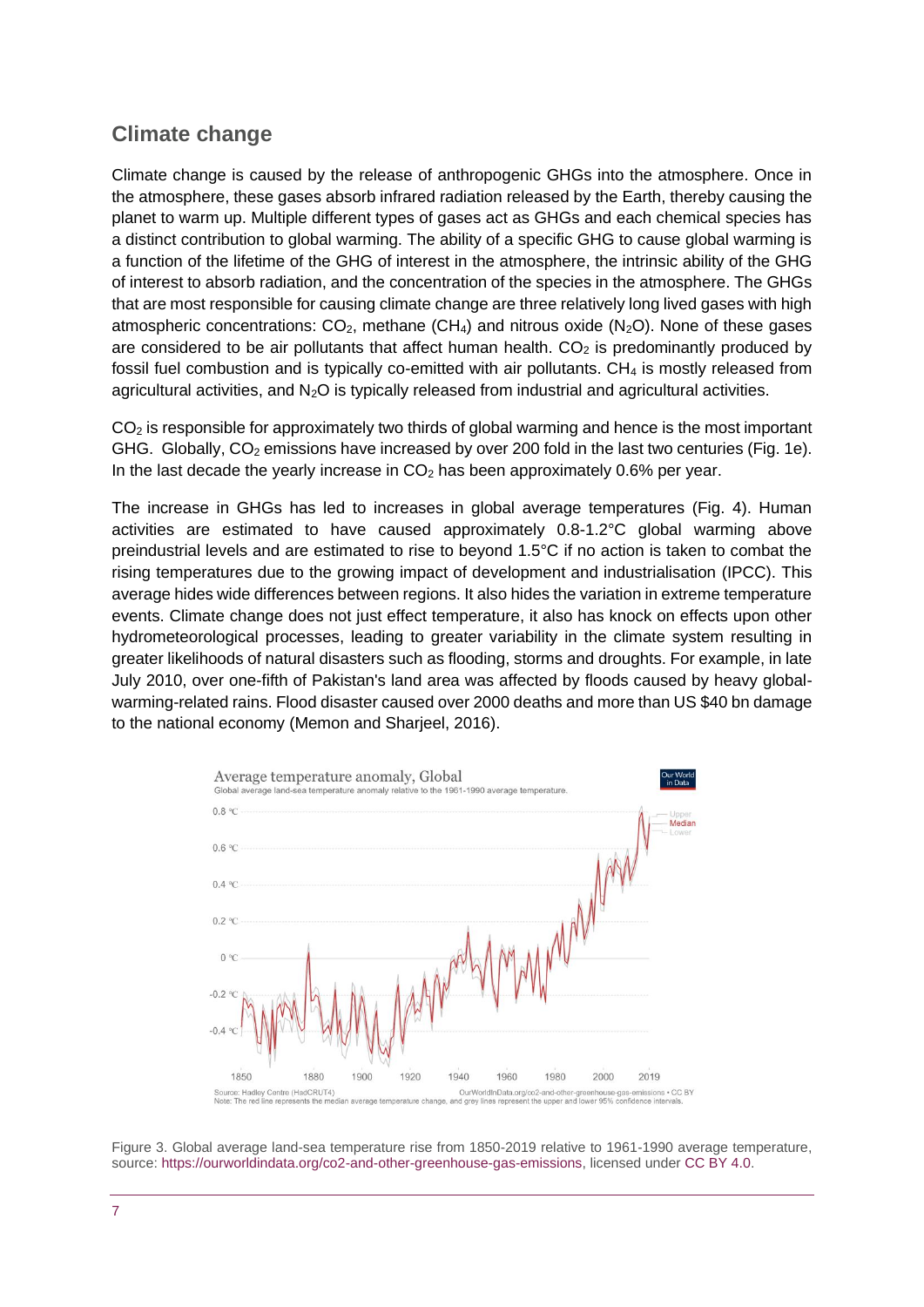# **Climate change**

Climate change is caused by the release of anthropogenic GHGs into the atmosphere. Once in the atmosphere, these gases absorb infrared radiation released by the Earth, thereby causing the planet to warm up. Multiple different types of gases act as GHGs and each chemical species has a distinct contribution to global warming. The ability of a specific GHG to cause global warming is a function of the lifetime of the GHG of interest in the atmosphere, the intrinsic ability of the GHG of interest to absorb radiation, and the concentration of the species in the atmosphere. The GHGs that are most responsible for causing climate change are three relatively long lived gases with high atmospheric concentrations:  $CO<sub>2</sub>$ , methane (CH<sub>4</sub>) and nitrous oxide (N<sub>2</sub>O). None of these gases are considered to be air pollutants that affect human health.  $CO<sub>2</sub>$  is predominantly produced by fossil fuel combustion and is typically co-emitted with air pollutants. CH<sup>4</sup> is mostly released from agricultural activities, and  $N<sub>2</sub>O$  is typically released from industrial and agricultural activities.

CO<sup>2</sup> is responsible for approximately two thirds of global warming and hence is the most important GHG. Globally,  $CO<sub>2</sub>$  emissions have increased by over 200 fold in the last two centuries (Fig. 1e). In the last decade the yearly increase in  $CO<sub>2</sub>$  has been approximately 0.6% per year.

The increase in GHGs has led to increases in global average temperatures (Fig. 4). Human activities are estimated to have caused approximately 0.8-1.2°C global warming above preindustrial levels and are estimated to rise to beyond 1.5°C if no action is taken to combat the rising temperatures due to the growing impact of development and industrialisation (IPCC). This average hides wide differences between regions. It also hides the variation in extreme temperature events. Climate change does not just effect temperature, it also has knock on effects upon other hydrometeorological processes, leading to greater variability in the climate system resulting in greater likelihoods of natural disasters such as flooding, storms and droughts. For example, in late July 2010, over one-fifth of Pakistan's land area was affected by floods caused by heavy globalwarming-related rains. Flood disaster caused over 2000 deaths and more than US \$40 bn damage to the national economy (Memon and Sharjeel, 2016).



Figure 3. Global average land-sea temperature rise from 1850-2019 relative to 1961-1990 average temperature, source: [https://ourworldindata.org/co2-and-other-greenhouse-gas-emissions,](https://ourworldindata.org/co2-and-other-greenhouse-gas-emissions) licensed under [CC BY 4.0.](https://creativecommons.org/licenses/by/4.0/deed.en_US)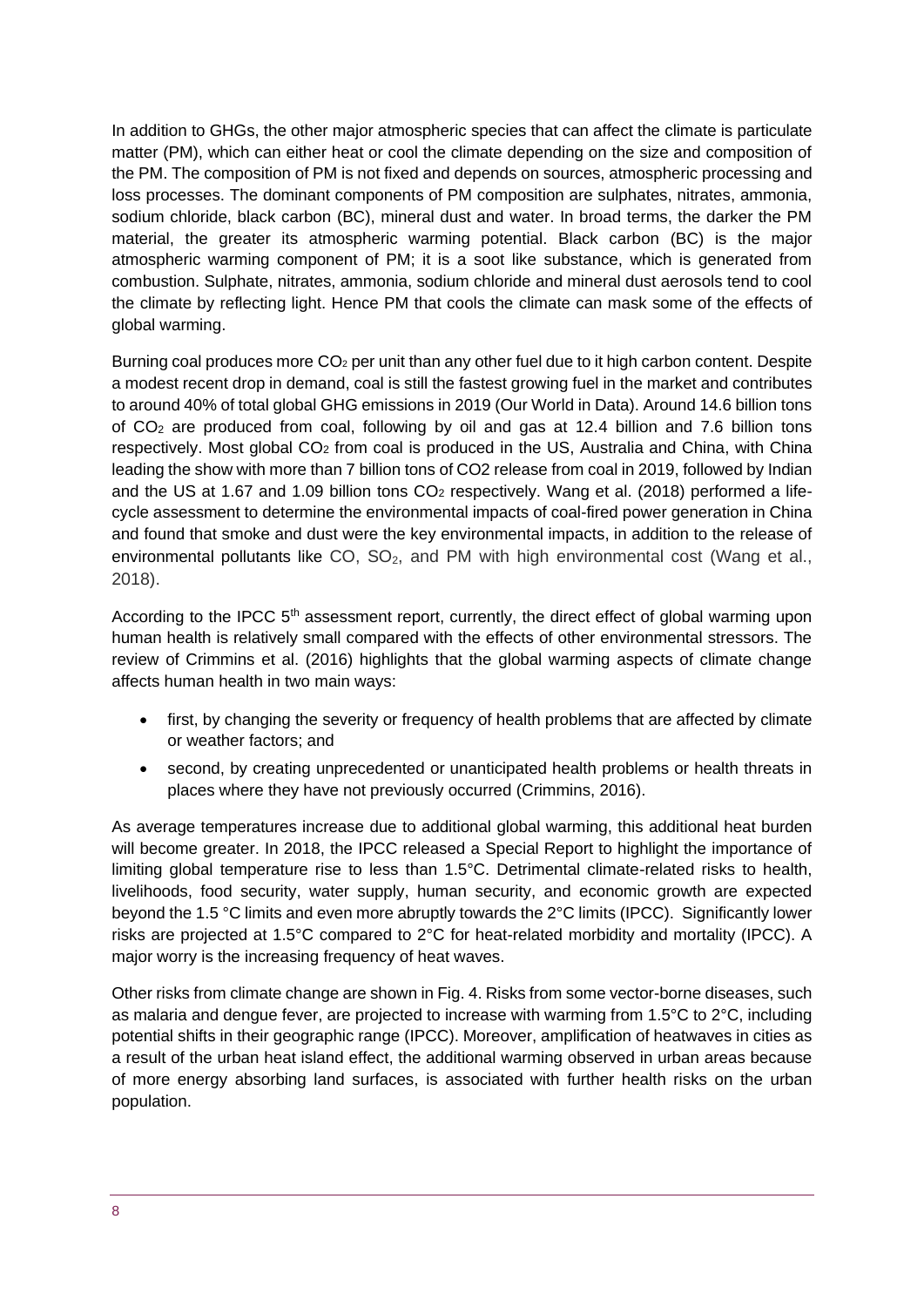In addition to GHGs, the other major atmospheric species that can affect the climate is particulate matter (PM), which can either heat or cool the climate depending on the size and composition of the PM. The composition of PM is not fixed and depends on sources, atmospheric processing and loss processes. The dominant components of PM composition are sulphates, nitrates, ammonia, sodium chloride, black carbon (BC), mineral dust and water. In broad terms, the darker the PM material, the greater its atmospheric warming potential. Black carbon (BC) is the major atmospheric warming component of PM; it is a soot like substance, which is generated from combustion. Sulphate, nitrates, ammonia, sodium chloride and mineral dust aerosols tend to cool the climate by reflecting light. Hence PM that cools the climate can mask some of the effects of global warming.

Burning coal produces more  $CO<sub>2</sub>$  per unit than any other fuel due to it high carbon content. Despite a modest recent drop in demand, coal is still the fastest growing fuel in the market and contributes to around 40% of total global GHG emissions in 2019 (Our World in Data). Around 14.6 billion tons of  $CO<sub>2</sub>$  are produced from coal, following by oil and gas at 12.4 billion and 7.6 billion tons respectively. Most global CO<sup>2</sup> from coal is produced in the US, Australia and China, with China leading the show with more than 7 billion tons of CO2 release from coal in 2019, followed by Indian and the US at 1.67 and 1.09 billion tons CO<sup>2</sup> respectively. Wang et al. (2018) performed a lifecycle assessment to determine the environmental impacts of coal-fired power generation in China and found that smoke and dust were the key environmental impacts, in addition to the release of environmental pollutants like CO,  $SO<sub>2</sub>$ , and PM with high environmental cost (Wang et al., 2018).

According to the IPCC  $5<sup>th</sup>$  assessment report, currently, the direct effect of global warming upon human health is relatively small compared with the effects of other environmental stressors. The review of Crimmins et al. (2016) highlights that the global warming aspects of climate change affects human health in two main ways:

- first, by changing the severity or frequency of health problems that are affected by climate or weather factors; and
- second, by creating unprecedented or unanticipated health problems or health threats in places where they have not previously occurred (Crimmins, 2016).

As average temperatures increase due to additional global warming, this additional heat burden will become greater. In 2018, the IPCC released a Special Report to highlight the importance of limiting global temperature rise to less than 1.5°C. Detrimental climate-related risks to health, livelihoods, food security, water supply, human security, and economic growth are expected beyond the 1.5 °C limits and even more abruptly towards the 2°C limits (IPCC). Significantly lower risks are projected at 1.5°C compared to 2°C for heat-related morbidity and mortality (IPCC). A major worry is the increasing frequency of heat waves.

Other risks from climate change are shown in Fig. 4. Risks from some vector-borne diseases, such as malaria and dengue fever, are projected to increase with warming from 1.5°C to 2°C, including potential shifts in their geographic range (IPCC). Moreover, amplification of heatwaves in cities as a result of the urban heat island effect, the additional warming observed in urban areas because of more energy absorbing land surfaces, is associated with further health risks on the urban population.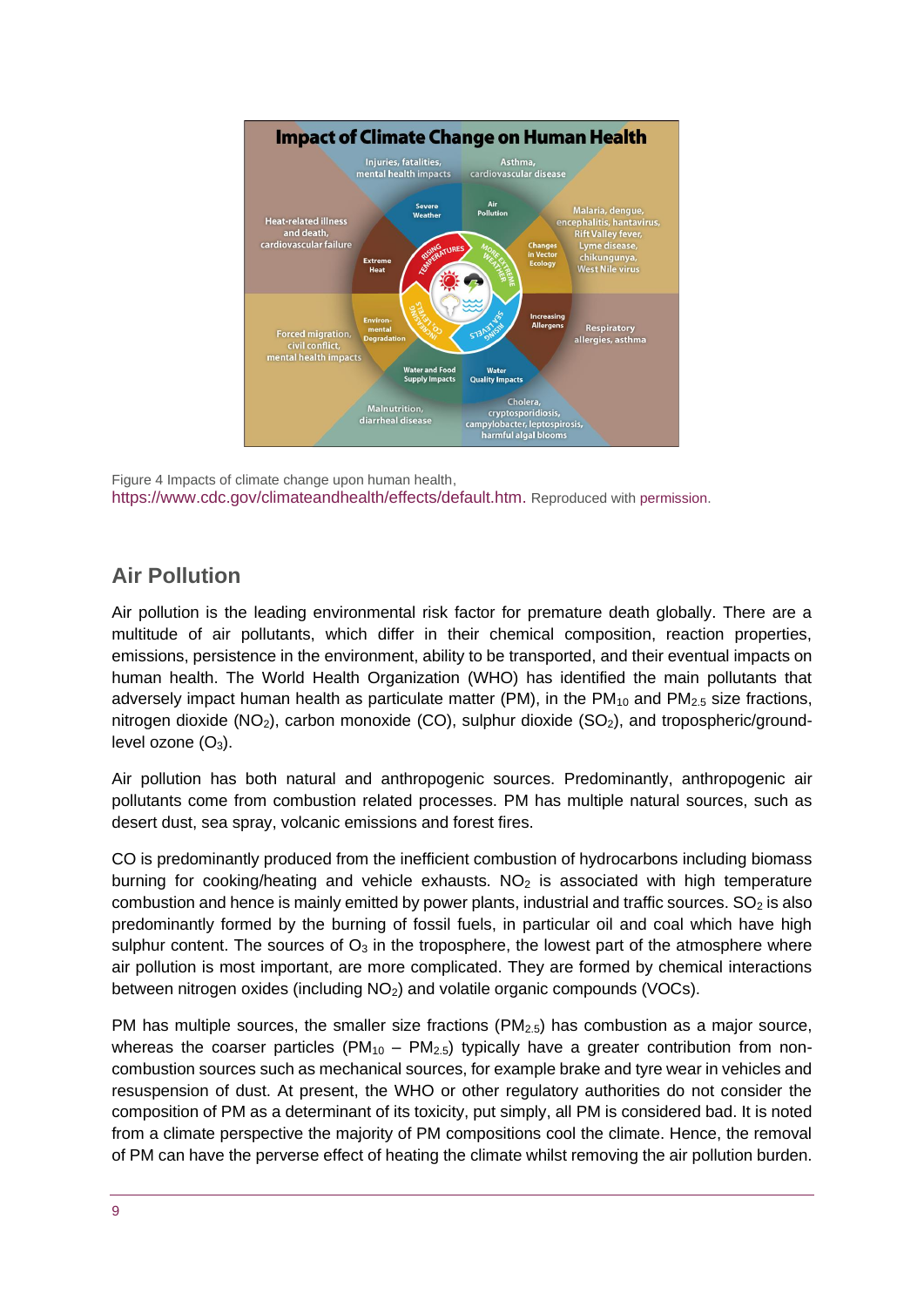

Figure 4 Impacts of climate change upon human health, [https://www.cdc.gov/climateandhealth/effects/default.htm.](https://www.cdc.gov/climateandhealth/effects/default.htm) Reproduced with [permission.](https://www.cdc.gov/other/agencymaterials.html)

# **Air Pollution**

Air pollution is the leading environmental risk factor for premature death globally. There are a multitude of air pollutants, which differ in their chemical composition, reaction properties, emissions, persistence in the environment, ability to be transported, and their eventual impacts on human health. The World Health Organization (WHO) has identified the main pollutants that adversely impact human health as particulate matter (PM), in the  $PM_{10}$  and  $PM_{2.5}$  size fractions, nitrogen dioxide ( $NO<sub>2</sub>$ ), carbon monoxide ( $CO$ ), sulphur dioxide ( $SO<sub>2</sub>$ ), and tropospheric/groundlevel ozone  $(O_3)$ .

Air pollution has both natural and anthropogenic sources. Predominantly, anthropogenic air pollutants come from combustion related processes. PM has multiple natural sources, such as desert dust, sea spray, volcanic emissions and forest fires.

CO is predominantly produced from the inefficient combustion of hydrocarbons including biomass burning for cooking/heating and vehicle exhausts.  $NO<sub>2</sub>$  is associated with high temperature combustion and hence is mainly emitted by power plants, industrial and traffic sources.  $SO<sub>2</sub>$  is also predominantly formed by the burning of fossil fuels, in particular oil and coal which have high sulphur content. The sources of  $O_3$  in the troposphere, the lowest part of the atmosphere where air pollution is most important, are more complicated. They are formed by chemical interactions between nitrogen oxides (including NO2) and volatile organic compounds (VOCs).

PM has multiple sources, the smaller size fractions  $(PM<sub>2.5</sub>)$  has combustion as a major source, whereas the coarser particles ( $PM_{10} - PM_{2.5}$ ) typically have a greater contribution from noncombustion sources such as mechanical sources, for example brake and tyre wear in vehicles and resuspension of dust. At present, the WHO or other regulatory authorities do not consider the composition of PM as a determinant of its toxicity, put simply, all PM is considered bad. It is noted from a climate perspective the majority of PM compositions cool the climate. Hence, the removal of PM can have the perverse effect of heating the climate whilst removing the air pollution burden.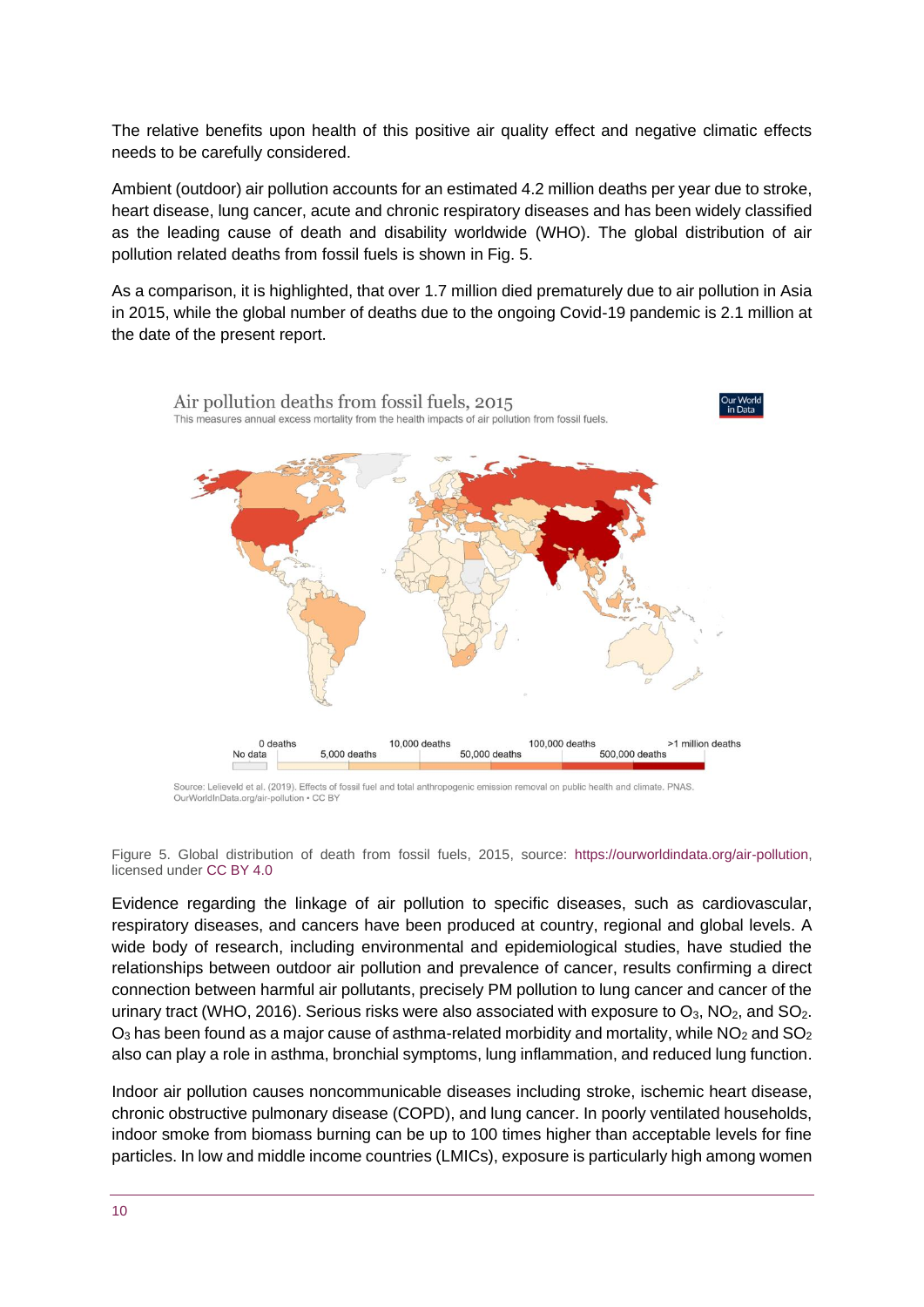The relative benefits upon health of this positive air quality effect and negative climatic effects needs to be carefully considered.

Ambient (outdoor) air pollution accounts for an estimated 4.2 million deaths per year due to stroke, heart disease, lung cancer, acute and chronic respiratory diseases and has been widely classified as the leading cause of death and disability worldwide (WHO). The global distribution of air pollution related deaths from fossil fuels is shown in Fig. 5.

As a comparison, it is highlighted, that over 1.7 million died prematurely due to air pollution in Asia in 2015, while the global number of deaths due to the ongoing Covid-19 pandemic is 2.1 million at the date of the present report.



Source: Lelieveld et al. (2019). Effects of fossil fuel and total anthropogenic emission removal on public health and climate. PNAS. OurWorldInData.org/air-pollution • CC BY

Figure 5. Global distribution of death from fossil fuels, 2015, source: [https://ourworldindata.org/air-pollution,](https://ourworldindata.org/air-pollution) licensed under [CC BY 4.0](https://creativecommons.org/licenses/by/4.0/deed.en_US)

Evidence regarding the linkage of air pollution to specific diseases, such as cardiovascular, respiratory diseases, and cancers have been produced at country, regional and global levels. A wide body of research, including environmental and epidemiological studies, have studied the relationships between outdoor air pollution and prevalence of cancer, results confirming a direct connection between harmful air pollutants, precisely PM pollution to lung cancer and cancer of the urinary tract (WHO, 2016). Serious risks were also associated with exposure to  $O_3$ , NO<sub>2</sub>, and SO<sub>2</sub>.  $O_3$  has been found as a major cause of asthma-related morbidity and mortality, while  $NO_2$  and  $SO_2$ also can play a role in asthma, bronchial symptoms, lung inflammation, and reduced lung function.

Indoor air pollution causes noncommunicable diseases including stroke, ischemic heart disease, chronic obstructive pulmonary disease (COPD), and lung cancer. In poorly ventilated households, indoor smoke from biomass burning can be up to 100 times higher than acceptable levels for fine particles. In low and middle income countries (LMICs), exposure is particularly high among women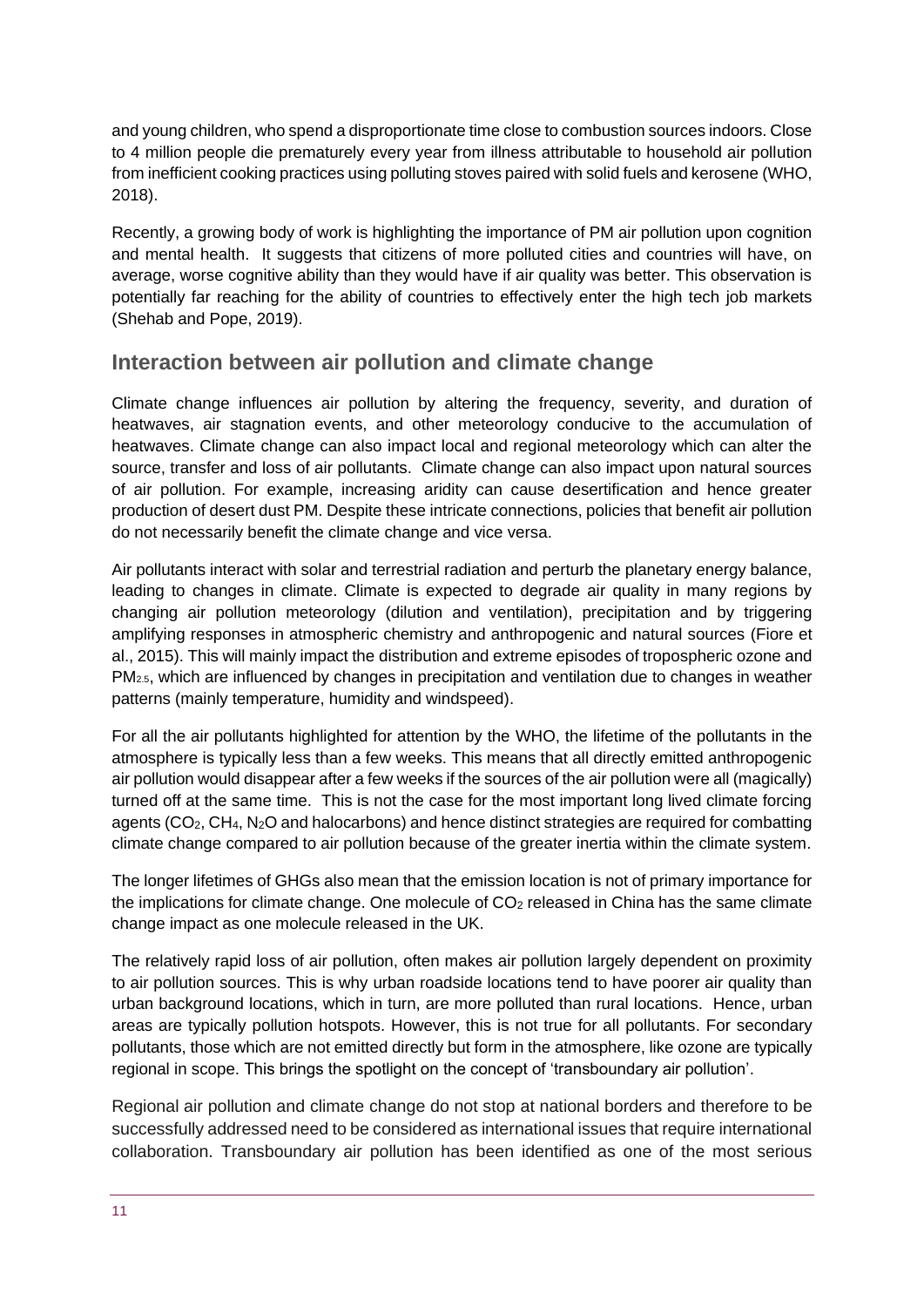and young children, who spend a disproportionate time close to combustion sources indoors. Close to 4 million people die prematurely every year from illness attributable to household air pollution from inefficient cooking practices using polluting stoves paired with solid fuels and kerosene (WHO, 2018).

Recently, a growing body of work is highlighting the importance of PM air pollution upon cognition and mental health. It suggests that citizens of more polluted cities and countries will have, on average, worse cognitive ability than they would have if air quality was better. This observation is potentially far reaching for the ability of countries to effectively enter the high tech job markets (Shehab and Pope, 2019).

#### **Interaction between air pollution and climate change**

Climate change influences air pollution by altering the frequency, severity, and duration of heatwaves, air stagnation events, and other meteorology conducive to the accumulation of heatwaves. Climate change can also impact local and regional meteorology which can alter the source, transfer and loss of air pollutants. Climate change can also impact upon natural sources of air pollution. For example, increasing aridity can cause desertification and hence greater production of desert dust PM. Despite these intricate connections, policies that benefit air pollution do not necessarily benefit the climate change and vice versa.

Air pollutants interact with solar and terrestrial radiation and perturb the planetary energy balance, leading to changes in climate. Climate is expected to degrade air quality in many regions by changing air pollution meteorology (dilution and ventilation), precipitation and by triggering amplifying responses in atmospheric chemistry and anthropogenic and natural sources (Fiore et al., 2015). This will mainly impact the distribution and extreme episodes of tropospheric ozone and PM2.5, which are influenced by changes in precipitation and ventilation due to changes in weather patterns (mainly temperature, humidity and windspeed).

For all the air pollutants highlighted for attention by the WHO, the lifetime of the pollutants in the atmosphere is typically less than a few weeks. This means that all directly emitted anthropogenic air pollution would disappear after a few weeks if the sources of the air pollution were all (magically) turned off at the same time. This is not the case for the most important long lived climate forcing agents (CO<sub>2</sub>, CH<sub>4</sub>, N<sub>2</sub>O and halocarbons) and hence distinct strategies are required for combatting climate change compared to air pollution because of the greater inertia within the climate system.

The longer lifetimes of GHGs also mean that the emission location is not of primary importance for the implications for climate change. One molecule of  $CO<sub>2</sub>$  released in China has the same climate change impact as one molecule released in the UK.

The relatively rapid loss of air pollution, often makes air pollution largely dependent on proximity to air pollution sources. This is why urban roadside locations tend to have poorer air quality than urban background locations, which in turn, are more polluted than rural locations. Hence, urban areas are typically pollution hotspots. However, this is not true for all pollutants. For secondary pollutants, those which are not emitted directly but form in the atmosphere, like ozone are typically regional in scope. This brings the spotlight on the concept of 'transboundary air pollution'.

Regional air pollution and climate change do not stop at national borders and therefore to be successfully addressed need to be considered as international issues that require international collaboration. Transboundary air pollution has been identified as one of the most serious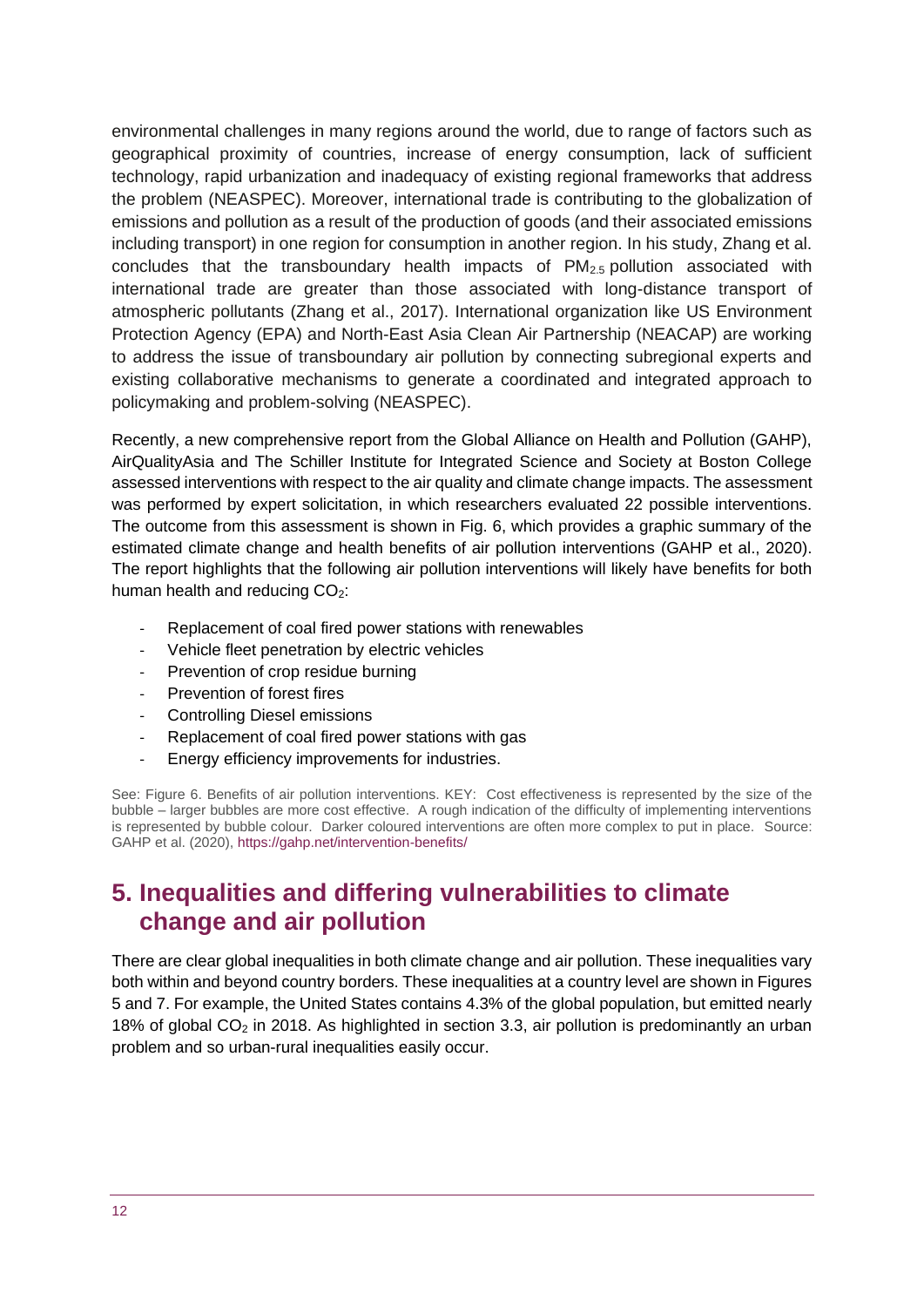environmental challenges in many regions around the world, due to range of factors such as geographical proximity of countries, increase of energy consumption, lack of sufficient technology, rapid urbanization and inadequacy of existing regional frameworks that address the problem (NEASPEC). Moreover, international trade is contributing to the globalization of emissions and pollution as a result of the production of goods (and their associated emissions including transport) in one region for consumption in another region. In his study, Zhang et al. concludes that the transboundary health impacts of  $PM_{2.5}$  pollution associated with international trade are greater than those associated with long-distance transport of atmospheric pollutants (Zhang et al., 2017). International organization like US Environment Protection Agency (EPA) and North-East Asia Clean Air Partnership (NEACAP) are working to address the issue of transboundary air pollution by connecting subregional experts and existing collaborative mechanisms to generate a coordinated and integrated approach to policymaking and problem-solving (NEASPEC).

Recently, a new comprehensive report from the Global Alliance on Health and Pollution (GAHP), AirQualityAsia and The Schiller Institute for Integrated Science and Society at Boston College assessed interventions with respect to the air quality and climate change impacts. The assessment was performed by expert solicitation, in which researchers evaluated 22 possible interventions. The outcome from this assessment is shown in Fig. 6, which provides a graphic summary of the estimated climate change and health benefits of air pollution interventions (GAHP et al., 2020). The report highlights that the following air pollution interventions will likely have benefits for both human health and reducing  $CO<sub>2</sub>$ :

- Replacement of coal fired power stations with renewables
- Vehicle fleet penetration by electric vehicles
- Prevention of crop residue burning
- Prevention of forest fires
- Controlling Diesel emissions
- Replacement of coal fired power stations with gas
- Energy efficiency improvements for industries.

See: Figure 6. Benefits of air pollution interventions. KEY: Cost effectiveness is represented by the size of the bubble – larger bubbles are more cost effective. A rough indication of the difficulty of implementing interventions is represented by bubble colour. Darker coloured interventions are often more complex to put in place. Source: GAHP et al. (2020),<https://gahp.net/intervention-benefits/>

# <span id="page-11-0"></span>**5. Inequalities and differing vulnerabilities to climate change and air pollution**

There are clear global inequalities in both climate change and air pollution. These inequalities vary both within and beyond country borders. These inequalities at a country level are shown in Figures 5 and 7. For example, the United States contains 4.3% of the global population, but emitted nearly 18% of global  $CO<sub>2</sub>$  in 2018. As highlighted in section 3.3, air pollution is predominantly an urban problem and so urban-rural inequalities easily occur.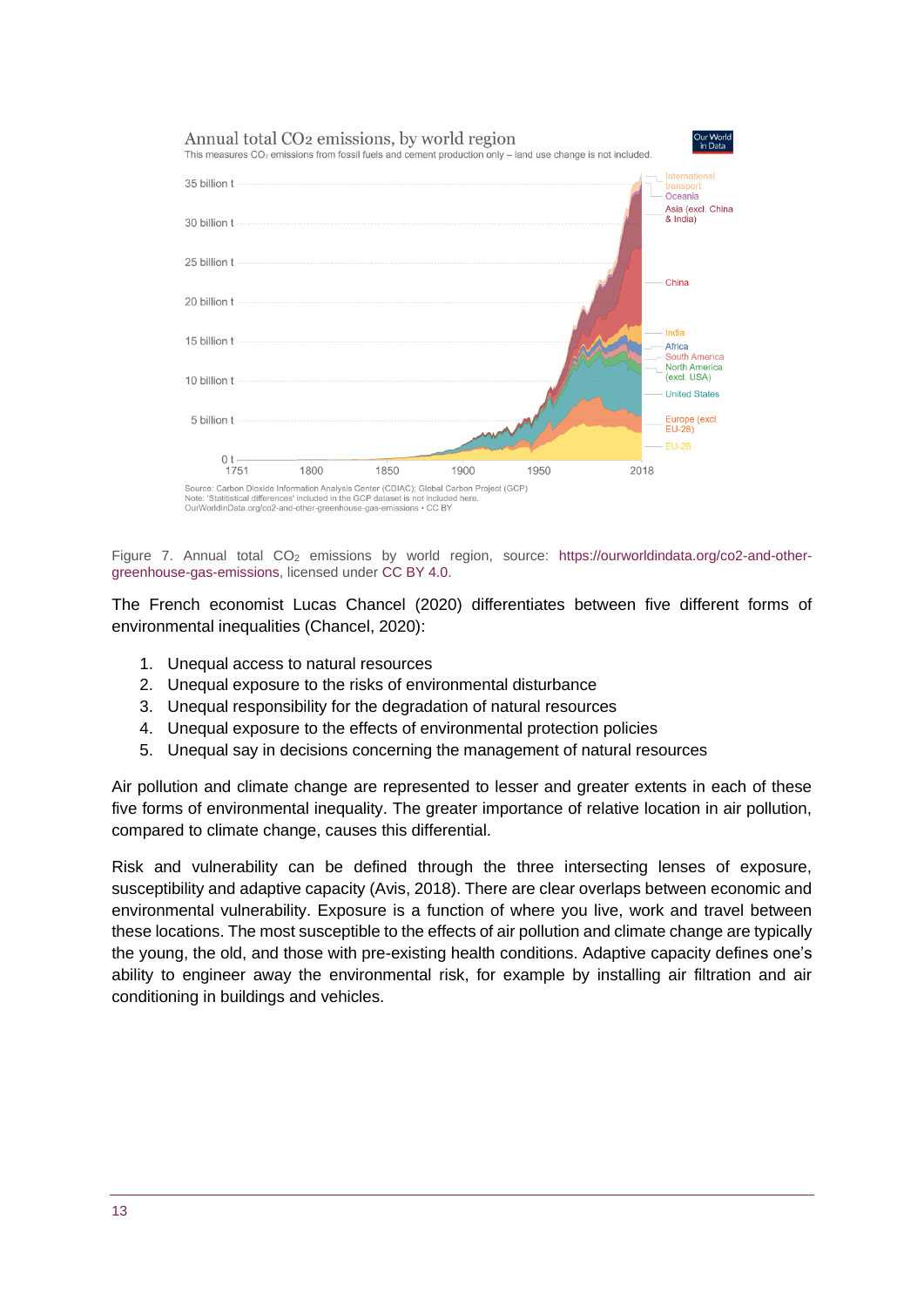

Figure 7. Annual total CO<sub>2</sub> emissions by world region, source: [https://ourworldindata.org/co2-and-other](https://ourworldindata.org/co2-and-other-greenhouse-gas-emissions)[greenhouse-gas-emissions,](https://ourworldindata.org/co2-and-other-greenhouse-gas-emissions) licensed under [CC BY 4.0.](https://creativecommons.org/licenses/by/4.0/deed.en_US)

The French economist Lucas Chancel (2020) differentiates between five different forms of environmental inequalities (Chancel, 2020):

- 1. Unequal access to natural resources
- 2. Unequal exposure to the risks of environmental disturbance
- 3. Unequal responsibility for the degradation of natural resources
- 4. Unequal exposure to the effects of environmental protection policies
- 5. Unequal say in decisions concerning the management of natural resources

Air pollution and climate change are represented to lesser and greater extents in each of these five forms of environmental inequality. The greater importance of relative location in air pollution, compared to climate change, causes this differential.

Risk and vulnerability can be defined through the three intersecting lenses of exposure, susceptibility and adaptive capacity (Avis, 2018). There are clear overlaps between economic and environmental vulnerability. Exposure is a function of where you live, work and travel between these locations. The most susceptible to the effects of air pollution and climate change are typically the young, the old, and those with pre-existing health conditions. Adaptive capacity defines one's ability to engineer away the environmental risk, for example by installing air filtration and air conditioning in buildings and vehicles.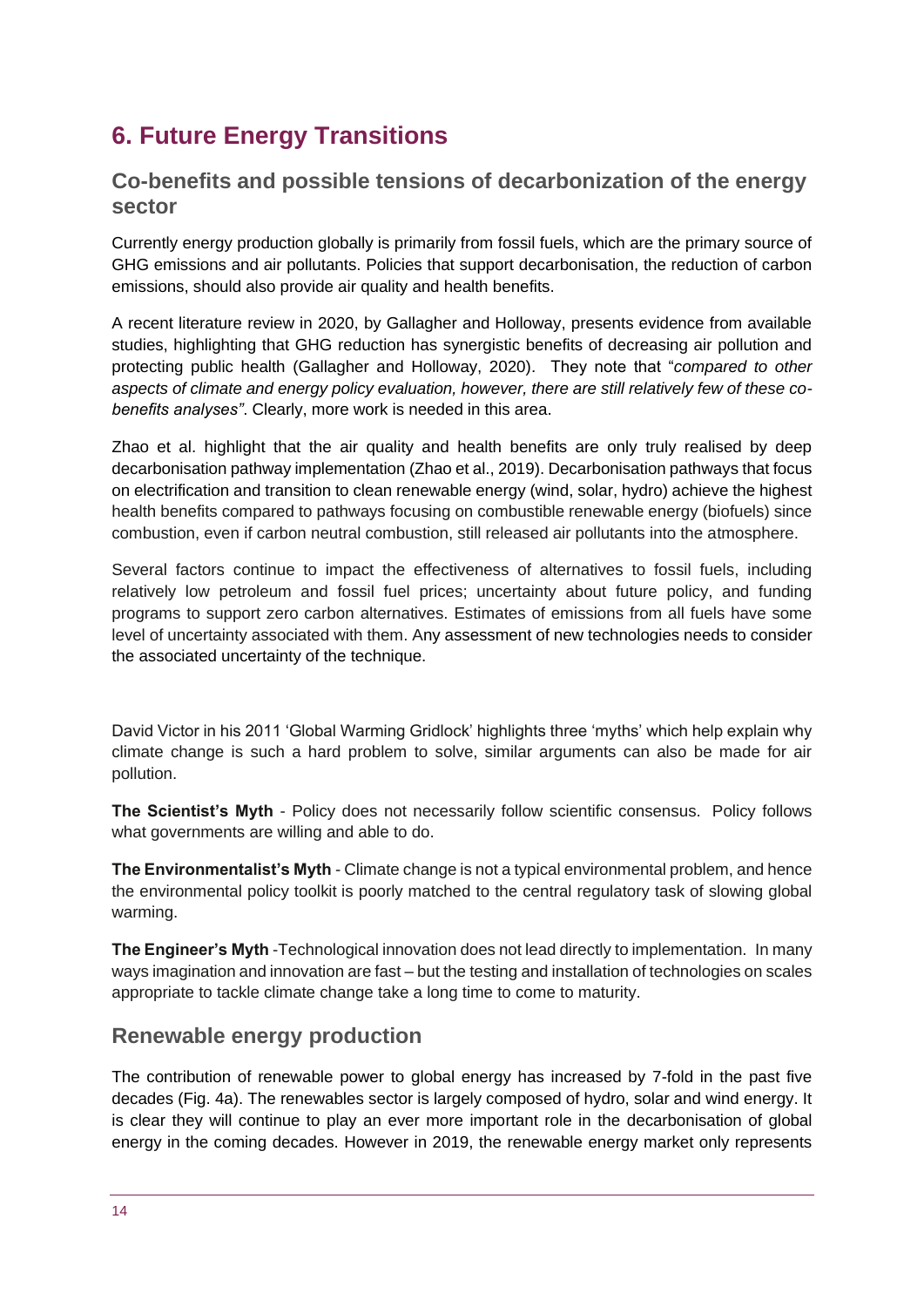# <span id="page-13-0"></span>**6. Future Energy Transitions**

#### **Co-benefits and possible tensions of decarbonization of the energy sector**

Currently energy production globally is primarily from fossil fuels, which are the primary source of GHG emissions and air pollutants. Policies that support decarbonisation, the reduction of carbon emissions, should also provide air quality and health benefits.

A recent literature review in 2020, by Gallagher and Holloway, presents evidence from available studies, highlighting that GHG reduction has synergistic benefits of decreasing air pollution and protecting public health (Gallagher and Holloway, 2020). They note that "*compared to other aspects of climate and energy policy evaluation, however, there are still relatively few of these cobenefits analyses"*. Clearly, more work is needed in this area.

Zhao et al. highlight that the air quality and health benefits are only truly realised by deep decarbonisation pathway implementation (Zhao et al., 2019). Decarbonisation pathways that focus on electrification and transition to clean renewable energy (wind, solar, hydro) achieve the highest health benefits compared to pathways focusing on combustible renewable energy (biofuels) since combustion, even if carbon neutral combustion, still released air pollutants into the atmosphere.

Several factors continue to impact the effectiveness of alternatives to fossil fuels, including relatively low petroleum and fossil fuel prices; uncertainty about future policy, and funding programs to support zero carbon alternatives. Estimates of emissions from all fuels have some level of uncertainty associated with them. Any assessment of new technologies needs to consider the associated uncertainty of the technique.

David Victor in his 2011 'Global Warming Gridlock' highlights three 'myths' which help explain why climate change is such a hard problem to solve, similar arguments can also be made for air pollution.

**The Scientist's Myth** - Policy does not necessarily follow scientific consensus. Policy follows what governments are willing and able to do.

**The Environmentalist's Myth** - Climate change is not a typical environmental problem, and hence the environmental policy toolkit is poorly matched to the central regulatory task of slowing global warming.

**The Engineer's Myth** -Technological innovation does not lead directly to implementation. In many ways imagination and innovation are fast – but the testing and installation of technologies on scales appropriate to tackle climate change take a long time to come to maturity.

#### **Renewable energy production**

The contribution of renewable power to global energy has increased by 7-fold in the past five decades (Fig. 4a). The renewables sector is largely composed of hydro, solar and wind energy. It is clear they will continue to play an ever more important role in the decarbonisation of global energy in the coming decades. However in 2019, the renewable energy market only represents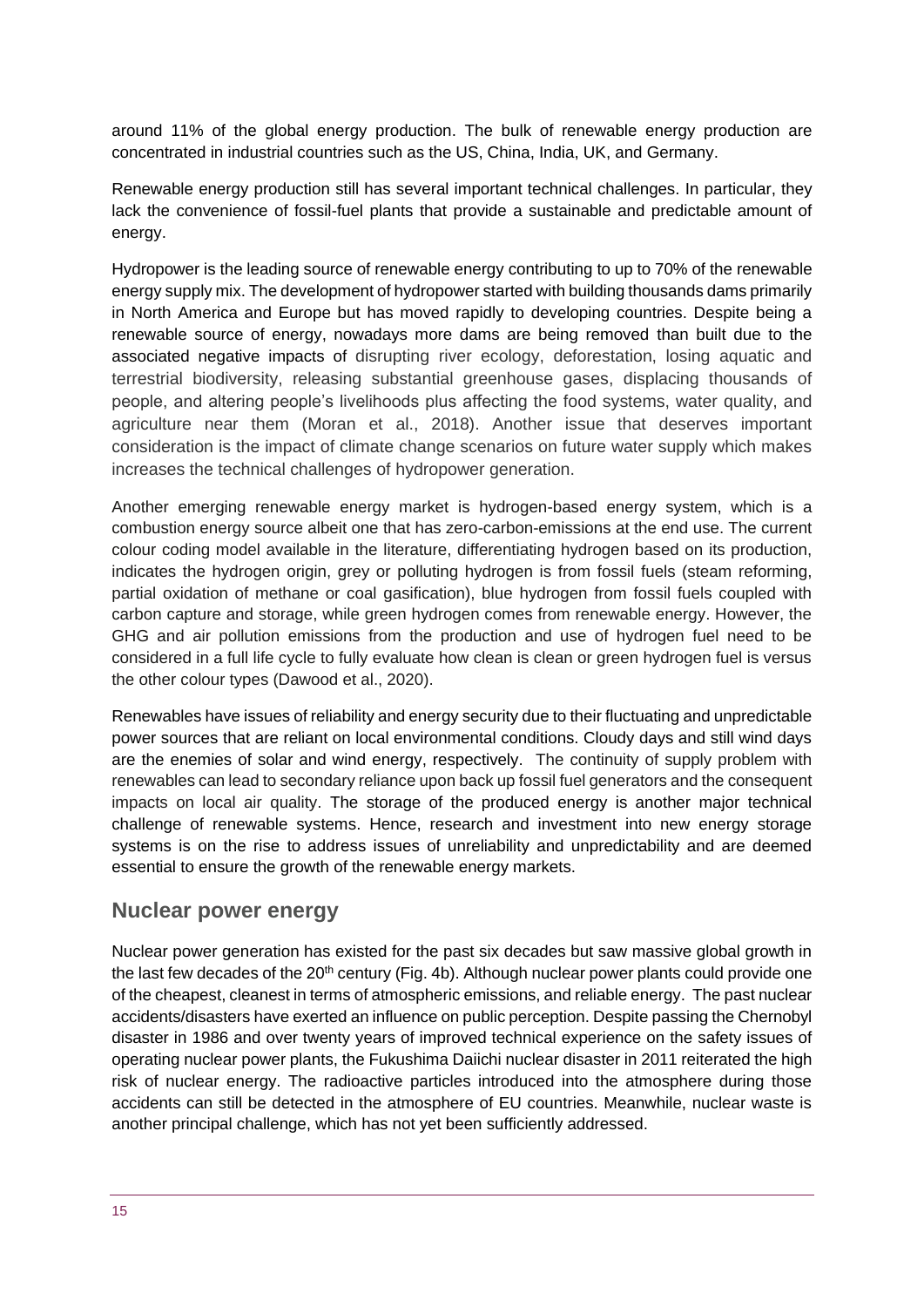around 11% of the global energy production. The bulk of renewable energy production are concentrated in industrial countries such as the US, China, India, UK, and Germany.

Renewable energy production still has several important technical challenges. In particular, they lack the convenience of fossil-fuel plants that provide a sustainable and predictable amount of energy.

Hydropower is the leading source of renewable energy contributing to up to 70% of the renewable energy supply mix. The development of hydropower started with building thousands dams primarily in North America and Europe but has moved rapidly to developing countries. Despite being a renewable source of energy, nowadays more dams are being removed than built due to the associated negative impacts of disrupting river ecology, deforestation, losing aquatic and terrestrial biodiversity, releasing substantial greenhouse gases, displacing thousands of people, and altering people's livelihoods plus affecting the food systems, water quality, and agriculture near them (Moran et al., 2018). Another issue that deserves important consideration is the impact of climate change scenarios on future water supply which makes increases the technical challenges of hydropower generation.

Another emerging renewable energy market is hydrogen-based energy system, which is a combustion energy source albeit one that has zero-carbon-emissions at the end use. The current colour coding model available in the literature, differentiating hydrogen based on its production, indicates the hydrogen origin, grey or polluting hydrogen is from fossil fuels (steam reforming, partial oxidation of methane or coal gasification), blue hydrogen from fossil fuels coupled with carbon capture and storage, while green hydrogen comes from renewable energy. However, the GHG and air pollution emissions from the production and use of hydrogen fuel need to be considered in a full life cycle to fully evaluate how clean is clean or green hydrogen fuel is versus the other colour types (Dawood et al., 2020).

Renewables have issues of reliability and energy security due to their fluctuating and unpredictable power sources that are reliant on local environmental conditions. Cloudy days and still wind days are the enemies of solar and wind energy, respectively. The continuity of supply problem with renewables can lead to secondary reliance upon back up fossil fuel generators and the consequent impacts on local air quality. The storage of the produced energy is another major technical challenge of renewable systems. Hence, research and investment into new energy storage systems is on the rise to address issues of unreliability and unpredictability and are deemed essential to ensure the growth of the renewable energy markets.

#### **Nuclear power energy**

Nuclear power generation has existed for the past six decades but saw massive global growth in the last few decades of the  $20<sup>th</sup>$  century (Fig. 4b). Although nuclear power plants could provide one of the cheapest, cleanest in terms of atmospheric emissions, and reliable energy. The past nuclear accidents/disasters have exerted an influence on public perception. Despite passing the Chernobyl disaster in 1986 and over twenty years of improved technical experience on the safety issues of operating nuclear power plants, the Fukushima Daiichi nuclear disaster in 2011 reiterated the high risk of nuclear energy. The radioactive particles introduced into the atmosphere during those accidents can still be detected in the atmosphere of EU countries. Meanwhile, nuclear waste is another principal challenge, which has not yet been sufficiently addressed.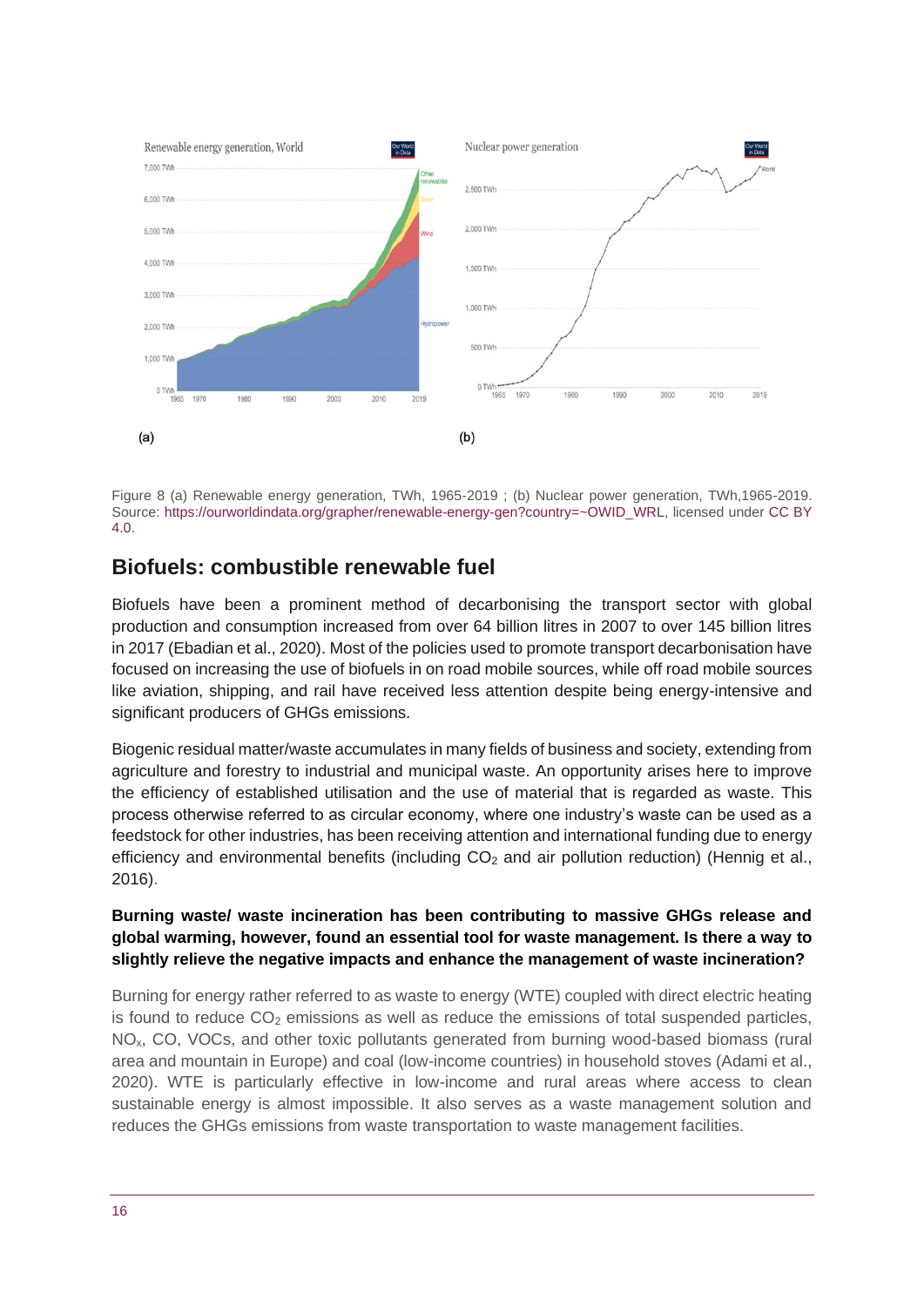

Figure 8 (a) Renewable energy generation, TWh, 1965-2019 ; (b) Nuclear power generation, TWh,1965-2019. Source: [https://ourworldindata.org/grapher/renewable-energy-gen?country=~OWID\\_WRL,](https://ourworldindata.org/grapher/renewable-energy-gen?country=~OWID_WRL) licensed under [CC BY](https://creativecommons.org/licenses/by/4.0/deed.en_US)  [4.0.](https://creativecommons.org/licenses/by/4.0/deed.en_US)

#### **Biofuels: combustible renewable fuel**

Biofuels have been a prominent method of decarbonising the transport sector with global production and consumption increased from over 64 billion litres in 2007 to over 145 billion litres in 2017 (Ebadian et al., 2020). Most of the policies used to promote transport decarbonisation have focused on increasing the use of biofuels in on road mobile sources, while off road mobile sources like aviation, shipping, and rail have received less attention despite being energy-intensive and significant producers of GHGs emissions.

Biogenic residual matter/waste accumulates in many fields of business and society, extending from agriculture and forestry to industrial and municipal waste. An opportunity arises here to improve the efficiency of established utilisation and the use of material that is regarded as waste. This process otherwise referred to as circular economy, where one industry's waste can be used as a feedstock for other industries, has been receiving attention and international funding due to energy efficiency and environmental benefits (including  $CO<sub>2</sub>$  and air pollution reduction) (Hennig et al., 2016).

#### **Burning waste/ waste incineration has been contributing to massive GHGs release and global warming, however, found an essential tool for waste management. Is there a way to slightly relieve the negative impacts and enhance the management of waste incineration?**

Burning for energy rather referred to as waste to energy (WTE) coupled with direct electric heating is found to reduce  $CO<sub>2</sub>$  emissions as well as reduce the emissions of total suspended particles, NOx, CO, VOCs, and other toxic pollutants generated from burning wood-based biomass (rural area and mountain in Europe) and coal (low-income countries) in household stoves (Adami et al., 2020). WTE is particularly effective in low-income and rural areas where access to clean sustainable energy is almost impossible. It also serves as a waste management solution and reduces the GHGs emissions from waste transportation to waste management facilities.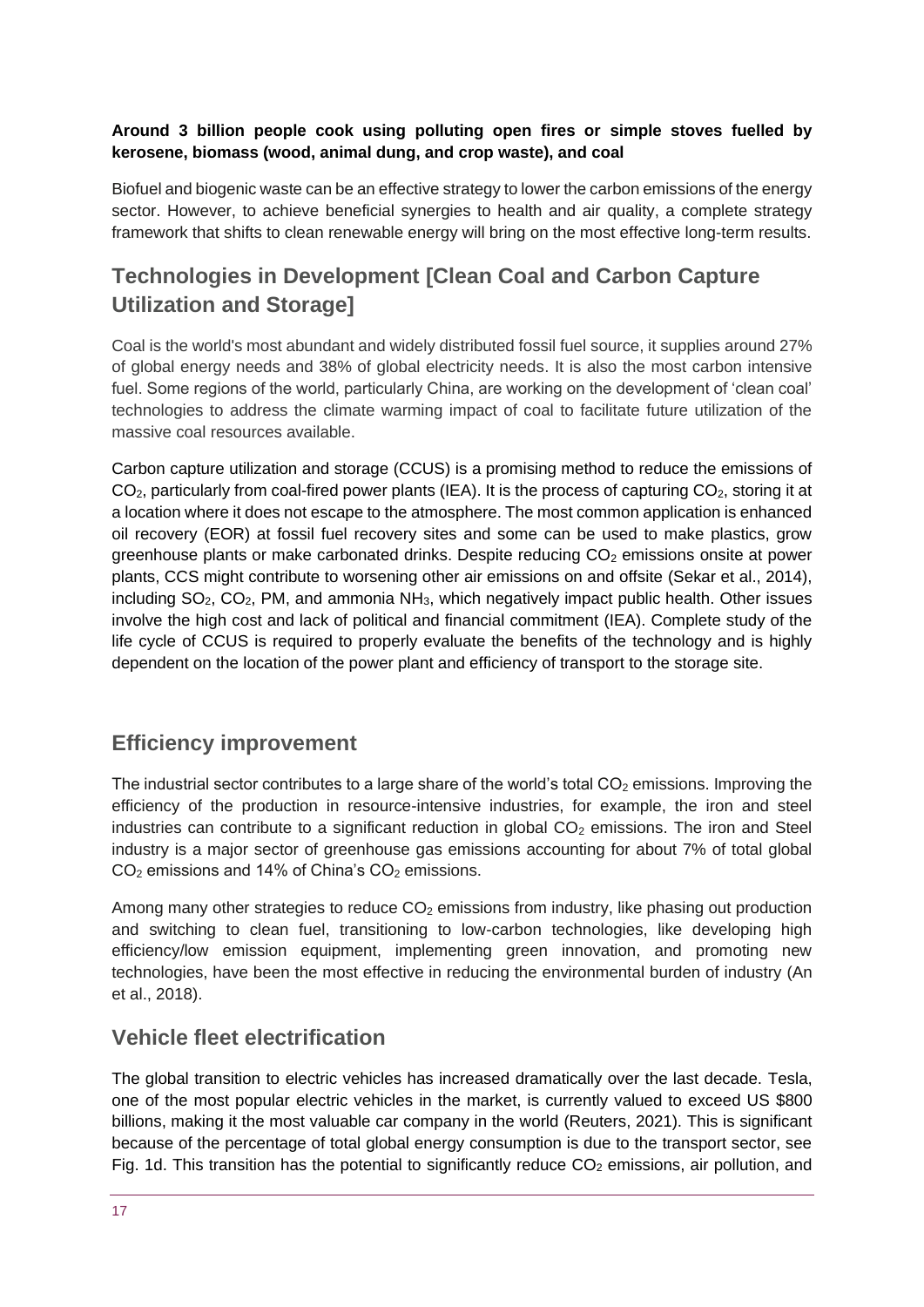#### **Around 3 billion people cook using polluting open fires or simple stoves fuelled by kerosene, biomass (wood, animal dung, and crop waste), and coal**

Biofuel and biogenic waste can be an effective strategy to lower the carbon emissions of the energy sector. However, to achieve beneficial synergies to health and air quality, a complete strategy framework that shifts to clean renewable energy will bring on the most effective long-term results.

# **Technologies in Development [Clean Coal and Carbon Capture Utilization and Storage]**

Coal is the world's most abundant and widely distributed fossil fuel source, it supplies around 27% of global energy needs and 38% of global electricity needs. It is also the most carbon intensive fuel. Some regions of the world, particularly China, are working on the development of 'clean coal' technologies to address the climate warming impact of coal to facilitate future utilization of the massive coal resources available.

Carbon capture utilization and storage (CCUS) is a promising method to reduce the emissions of  $CO<sub>2</sub>$ , particularly from coal-fired power plants (IEA). It is the process of capturing  $CO<sub>2</sub>$ , storing it at a location where it does not escape to the atmosphere. The most common application is enhanced oil recovery (EOR) at fossil fuel recovery sites and some can be used to make plastics, grow greenhouse plants or make carbonated drinks. Despite reducing  $CO<sub>2</sub>$  emissions onsite at power plants, CCS might contribute to worsening other air emissions on and offsite (Sekar et al., 2014), including  $SO_2$ ,  $CO_2$ , PM, and ammonia  $NH_3$ , which negatively impact public health. Other issues involve the high cost and lack of political and financial commitment (IEA). Complete study of the life cycle of CCUS is required to properly evaluate the benefits of the technology and is highly dependent on the location of the power plant and efficiency of transport to the storage site.

# **Efficiency improvement**

The industrial sector contributes to a large share of the world's total  $CO<sub>2</sub>$  emissions. Improving the efficiency of the production in resource-intensive industries, for example, the iron and steel industries can contribute to a significant reduction in global  $CO<sub>2</sub>$  emissions. The iron and Steel industry is a major sector of greenhouse gas emissions accounting for about 7% of total global  $CO<sub>2</sub>$  emissions and 14% of China's  $CO<sub>2</sub>$  emissions.

Among many other strategies to reduce  $CO<sub>2</sub>$  emissions from industry, like phasing out production and switching to clean fuel, transitioning to low-carbon technologies, like developing high efficiency/low emission equipment, implementing green innovation, and promoting new technologies, have been the most effective in reducing the environmental burden of industry (An et al., 2018).

#### **Vehicle fleet electrification**

The global transition to electric vehicles has increased dramatically over the last decade. Tesla, one of the most popular electric vehicles in the market, is currently valued to exceed US \$800 billions, making it the most valuable car company in the world (Reuters, 2021). This is significant because of the percentage of total global energy consumption is due to the transport sector, see Fig. 1d. This transition has the potential to significantly reduce  $CO<sub>2</sub>$  emissions, air pollution, and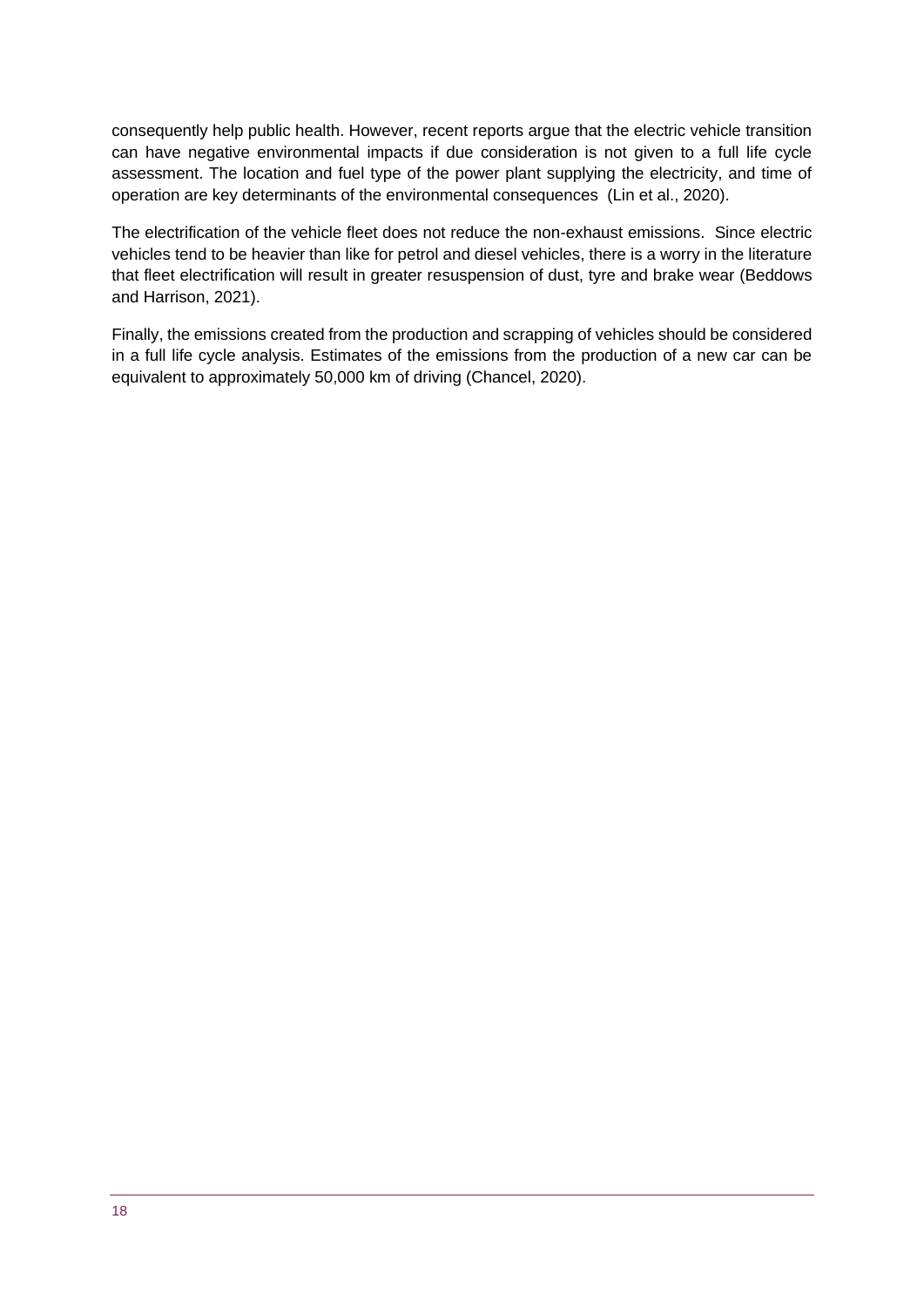consequently help public health. However, recent reports argue that the electric vehicle transition can have negative environmental impacts if due consideration is not given to a full life cycle assessment. The location and fuel type of the power plant supplying the electricity, and time of operation are key determinants of the environmental consequences (Lin et al., 2020).

The electrification of the vehicle fleet does not reduce the non-exhaust emissions. Since electric vehicles tend to be heavier than like for petrol and diesel vehicles, there is a worry in the literature that fleet electrification will result in greater resuspension of dust, tyre and brake wear (Beddows and Harrison, 2021).

Finally, the emissions created from the production and scrapping of vehicles should be considered in a full life cycle analysis. Estimates of the emissions from the production of a new car can be equivalent to approximately 50,000 km of driving (Chancel, 2020).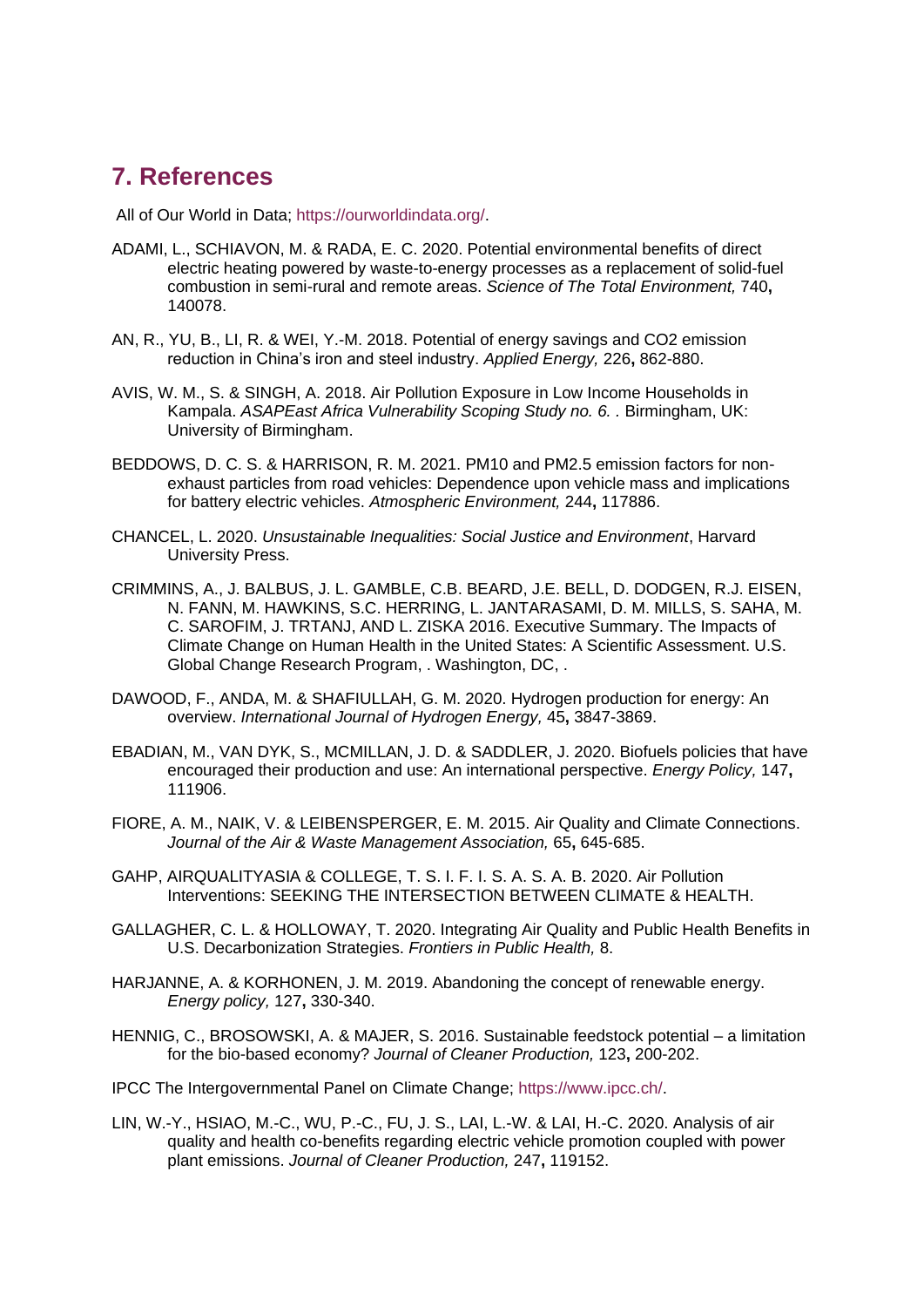# <span id="page-18-0"></span>**7. References**

All of Our World in Data; [https://ourworldindata.org/.](https://ourworldindata.org/)

- ADAMI, L., SCHIAVON, M. & RADA, E. C. 2020. Potential environmental benefits of direct electric heating powered by waste-to-energy processes as a replacement of solid-fuel combustion in semi-rural and remote areas. *Science of The Total Environment,* 740**,** 140078.
- AN, R., YU, B., LI, R. & WEI, Y.-M. 2018. Potential of energy savings and CO2 emission reduction in China's iron and steel industry. *Applied Energy,* 226**,** 862-880.
- AVIS, W. M., S. & SINGH, A. 2018. Air Pollution Exposure in Low Income Households in Kampala. *ASAPEast Africa Vulnerability Scoping Study no. 6. .* Birmingham, UK: University of Birmingham.
- BEDDOWS, D. C. S. & HARRISON, R. M. 2021. PM10 and PM2.5 emission factors for nonexhaust particles from road vehicles: Dependence upon vehicle mass and implications for battery electric vehicles. *Atmospheric Environment,* 244**,** 117886.
- CHANCEL, L. 2020. *Unsustainable Inequalities: Social Justice and Environment*, Harvard University Press.
- CRIMMINS, A., J. BALBUS, J. L. GAMBLE, C.B. BEARD, J.E. BELL, D. DODGEN, R.J. EISEN, N. FANN, M. HAWKINS, S.C. HERRING, L. JANTARASAMI, D. M. MILLS, S. SAHA, M. C. SAROFIM, J. TRTANJ, AND L. ZISKA 2016. Executive Summary. The Impacts of Climate Change on Human Health in the United States: A Scientific Assessment. U.S. Global Change Research Program, . Washington, DC, .
- DAWOOD, F., ANDA, M. & SHAFIULLAH, G. M. 2020. Hydrogen production for energy: An overview. *International Journal of Hydrogen Energy,* 45**,** 3847-3869.
- EBADIAN, M., VAN DYK, S., MCMILLAN, J. D. & SADDLER, J. 2020. Biofuels policies that have encouraged their production and use: An international perspective. *Energy Policy,* 147**,** 111906.
- FIORE, A. M., NAIK, V. & LEIBENSPERGER, E. M. 2015. Air Quality and Climate Connections. *Journal of the Air & Waste Management Association,* 65**,** 645-685.
- GAHP, AIRQUALITYASIA & COLLEGE, T. S. I. F. I. S. A. S. A. B. 2020. Air Pollution Interventions: SEEKING THE INTERSECTION BETWEEN CLIMATE & HEALTH.
- GALLAGHER, C. L. & HOLLOWAY, T. 2020. Integrating Air Quality and Public Health Benefits in U.S. Decarbonization Strategies. *Frontiers in Public Health,* 8.
- HARJANNE, A. & KORHONEN, J. M. 2019. Abandoning the concept of renewable energy. *Energy policy,* 127**,** 330-340.
- HENNIG, C., BROSOWSKI, A. & MAJER, S. 2016. Sustainable feedstock potential a limitation for the bio-based economy? *Journal of Cleaner Production,* 123**,** 200-202.
- IPCC The Intergovernmental Panel on Climate Change; [https://www.ipcc.ch/.](https://www.ipcc.ch/)
- LIN, W.-Y., HSIAO, M.-C., WU, P.-C., FU, J. S., LAI, L.-W. & LAI, H.-C. 2020. Analysis of air quality and health co-benefits regarding electric vehicle promotion coupled with power plant emissions. *Journal of Cleaner Production,* 247**,** 119152.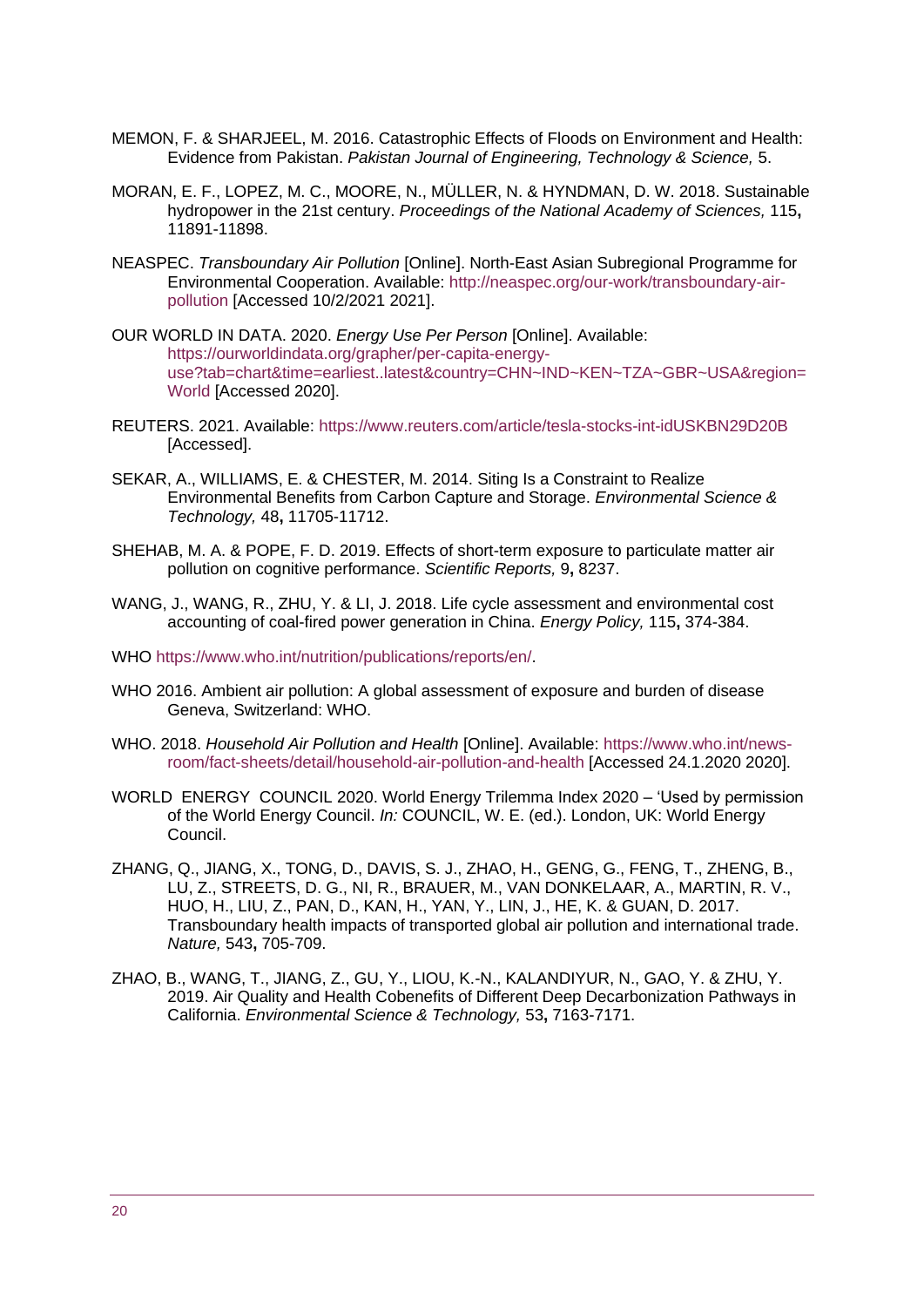- MEMON, F. & SHARJEEL, M. 2016. Catastrophic Effects of Floods on Environment and Health: Evidence from Pakistan. *Pakistan Journal of Engineering, Technology & Science,* 5.
- MORAN, E. F., LOPEZ, M. C., MOORE, N., MÜLLER, N. & HYNDMAN, D. W. 2018. Sustainable hydropower in the 21st century. *Proceedings of the National Academy of Sciences,* 115**,** 11891-11898.
- NEASPEC. *Transboundary Air Pollution* [Online]. North-East Asian Subregional Programme for Environmental Cooperation. Available: [http://neaspec.org/our-work/transboundary-air](http://neaspec.org/our-work/transboundary-air-pollution)[pollution](http://neaspec.org/our-work/transboundary-air-pollution) [Accessed 10/2/2021 2021].
- OUR WORLD IN DATA. 2020. *Energy Use Per Person* [Online]. Available: [https://ourworldindata.org/grapher/per-capita-energy](https://ourworldindata.org/grapher/per-capita-energy-use?tab=chart&time=earliest..latest&country=CHN~IND~KEN~TZA~GBR~USA®ion=World)[use?tab=chart&time=earliest..latest&country=CHN~IND~KEN~TZA~GBR~USA&region=](https://ourworldindata.org/grapher/per-capita-energy-use?tab=chart&time=earliest..latest&country=CHN~IND~KEN~TZA~GBR~USA®ion=World) [World](https://ourworldindata.org/grapher/per-capita-energy-use?tab=chart&time=earliest..latest&country=CHN~IND~KEN~TZA~GBR~USA®ion=World) [Accessed 2020].
- REUTERS. 2021. Available:<https://www.reuters.com/article/tesla-stocks-int-idUSKBN29D20B> [Accessed].
- SEKAR, A., WILLIAMS, E. & CHESTER, M. 2014. Siting Is a Constraint to Realize Environmental Benefits from Carbon Capture and Storage. *Environmental Science & Technology,* 48**,** 11705-11712.
- SHEHAB, M. A. & POPE, F. D. 2019. Effects of short-term exposure to particulate matter air pollution on cognitive performance. *Scientific Reports,* 9**,** 8237.
- WANG, J., WANG, R., ZHU, Y. & LI, J. 2018. Life cycle assessment and environmental cost accounting of coal-fired power generation in China. *Energy Policy,* 115**,** 374-384.
- WHO [https://www.who.int/nutrition/publications/reports/en/.](https://www.who.int/nutrition/publications/reports/en/)
- WHO 2016. Ambient air pollution: A global assessment of exposure and burden of disease Geneva, Switzerland: WHO.
- WHO. 2018. *Household Air Pollution and Health* [Online]. Available: [https://www.who.int/news](https://www.who.int/news-room/fact-sheets/detail/household-air-pollution-and-health)[room/fact-sheets/detail/household-air-pollution-and-health](https://www.who.int/news-room/fact-sheets/detail/household-air-pollution-and-health) [Accessed 24.1.2020 2020].
- WORLD ENERGY COUNCIL 2020. World Energy Trilemma Index 2020 'Used by permission of the World Energy Council. *In:* COUNCIL, W. E. (ed.). London, UK: World Energy Council.
- ZHANG, Q., JIANG, X., TONG, D., DAVIS, S. J., ZHAO, H., GENG, G., FENG, T., ZHENG, B., LU, Z., STREETS, D. G., NI, R., BRAUER, M., VAN DONKELAAR, A., MARTIN, R. V., HUO, H., LIU, Z., PAN, D., KAN, H., YAN, Y., LIN, J., HE, K. & GUAN, D. 2017. Transboundary health impacts of transported global air pollution and international trade. *Nature,* 543**,** 705-709.
- ZHAO, B., WANG, T., JIANG, Z., GU, Y., LIOU, K.-N., KALANDIYUR, N., GAO, Y. & ZHU, Y. 2019. Air Quality and Health Cobenefits of Different Deep Decarbonization Pathways in California. *Environmental Science & Technology,* 53**,** 7163-7171.